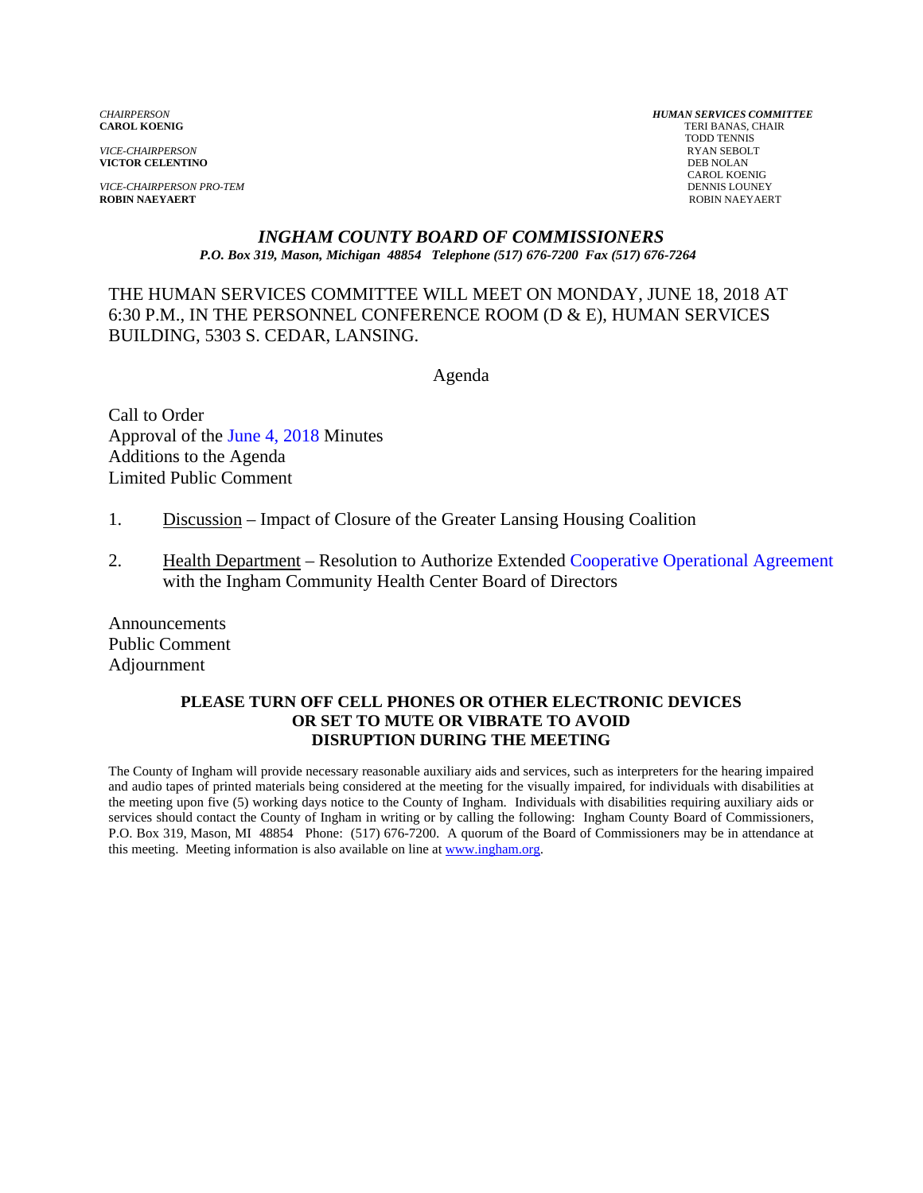*VICE-CHAIRPERSON* RYAN SEBOLT **VICTOR CELENTINO** 

*VICE-CHAIRPERSON PRO-TEM* DENNIS LOUNEY **ROBIN NAEYAERT** ROBIN NAEYAERT

*CHAIRPERSON HUMAN SERVICES COMMITTEE* TERI BANAS, CHAIR TODD TENNIS CAROL KOENIG

### *INGHAM COUNTY BOARD OF COMMISSIONERS P.O. Box 319, Mason, Michigan 48854 Telephone (517) 676-7200 Fax (517) 676-7264*

THE HUMAN SERVICES COMMITTEE WILL MEET ON MONDAY, JUNE 18, 2018 AT 6:30 P.M., IN THE PERSONNEL CONFERENCE ROOM (D & E), HUMAN SERVICES BUILDING, 5303 S. CEDAR, LANSING.

Agenda

Call to Order Approval o[f the June 4, 2018 Minutes](#page-1-0)  Additions to the Agenda Limited Public Comment

- 1. Discussion Impact of Closure of the Greater Lansing Housing Coalition
- 2. Health Department Resolution to Authorize Exten[ded Cooperative Operational Agreement](#page-11-0) with the Ingham Community Health Center Board of Directors

Announcements Public Comment Adjournment

### **PLEASE TURN OFF CELL PHONES OR OTHER ELECTRONIC DEVICES OR SET TO MUTE OR VIBRATE TO AVOID DISRUPTION DURING THE MEETING**

The County of Ingham will provide necessary reasonable auxiliary aids and services, such as interpreters for the hearing impaired and audio tapes of printed materials being considered at the meeting for the visually impaired, for individuals with disabilities at the meeting upon five (5) working days notice to the County of Ingham. Individuals with disabilities requiring auxiliary aids or services should contact the County of Ingham in writing or by calling the following: Ingham County Board of Commissioners, P.O. Box 319, Mason, MI 48854 Phone: (517) 676-7200. A quorum of the Board of Commissioners may be in attendance at this meeting. Meeting information is also available on line at www.ingham.org.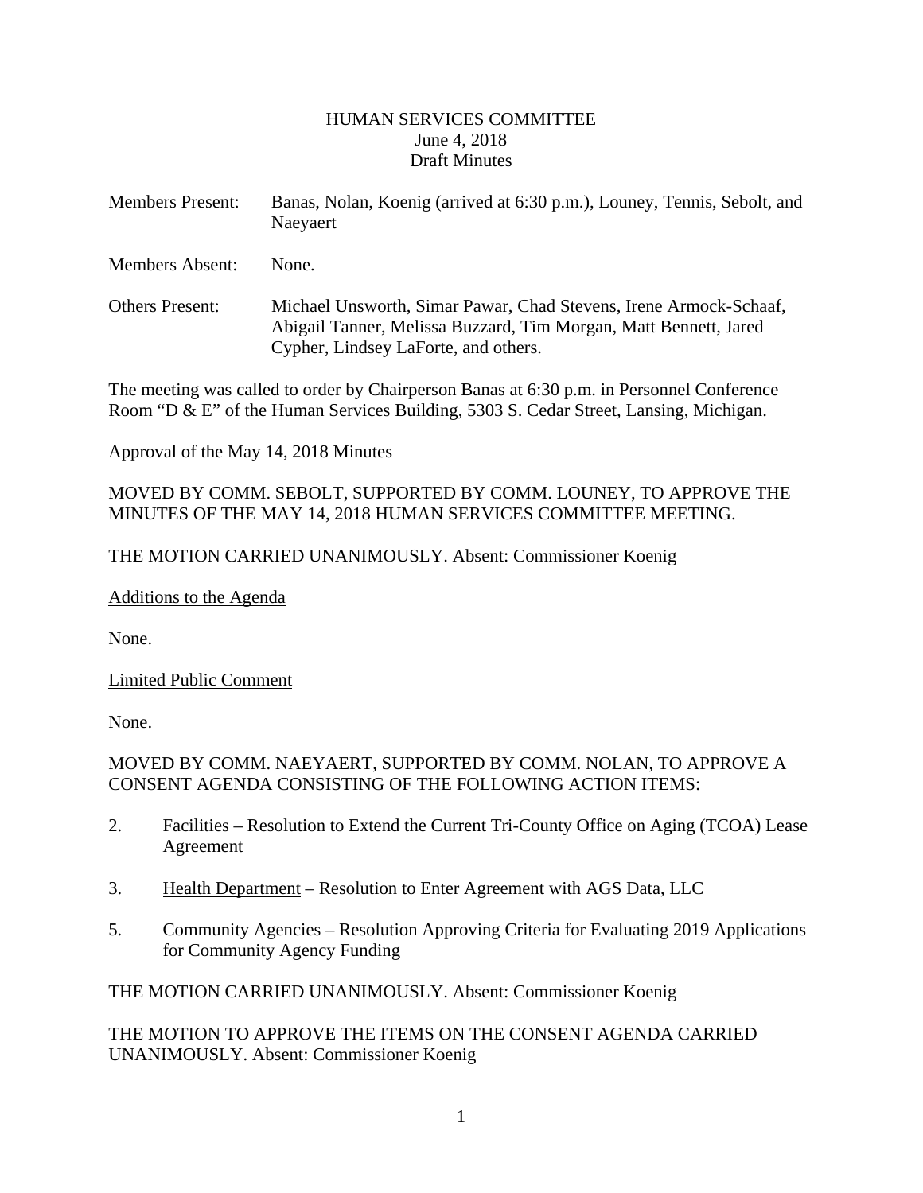### HUMAN SERVICES COMMITTEE June 4, 2018 Draft Minutes

<span id="page-1-0"></span>

| <b>Members Present:</b> | Banas, Nolan, Koenig (arrived at 6:30 p.m.), Louney, Tennis, Sebolt, and<br>Naeyaert |
|-------------------------|--------------------------------------------------------------------------------------|
| <b>Members Absent:</b>  | None.                                                                                |

Others Present: Michael Unsworth, Simar Pawar, Chad Stevens, Irene Armock-Schaaf, Abigail Tanner, Melissa Buzzard, Tim Morgan, Matt Bennett, Jared Cypher, Lindsey LaForte, and others.

The meeting was called to order by Chairperson Banas at 6:30 p.m. in Personnel Conference Room "D & E" of the Human Services Building, 5303 S. Cedar Street, Lansing, Michigan.

# Approval of the May 14, 2018 Minutes

# MOVED BY COMM. SEBOLT, SUPPORTED BY COMM. LOUNEY, TO APPROVE THE MINUTES OF THE MAY 14, 2018 HUMAN SERVICES COMMITTEE MEETING.

# THE MOTION CARRIED UNANIMOUSLY. Absent: Commissioner Koenig

# Additions to the Agenda

None.

Limited Public Comment

None.

# MOVED BY COMM. NAEYAERT, SUPPORTED BY COMM. NOLAN, TO APPROVE A CONSENT AGENDA CONSISTING OF THE FOLLOWING ACTION ITEMS:

- 2. Facilities Resolution to Extend the Current Tri-County Office on Aging (TCOA) Lease Agreement
- 3. Health Department Resolution to Enter Agreement with AGS Data, LLC
- 5. Community Agencies Resolution Approving Criteria for Evaluating 2019 Applications for Community Agency Funding

THE MOTION CARRIED UNANIMOUSLY. Absent: Commissioner Koenig

THE MOTION TO APPROVE THE ITEMS ON THE CONSENT AGENDA CARRIED UNANIMOUSLY. Absent: Commissioner Koenig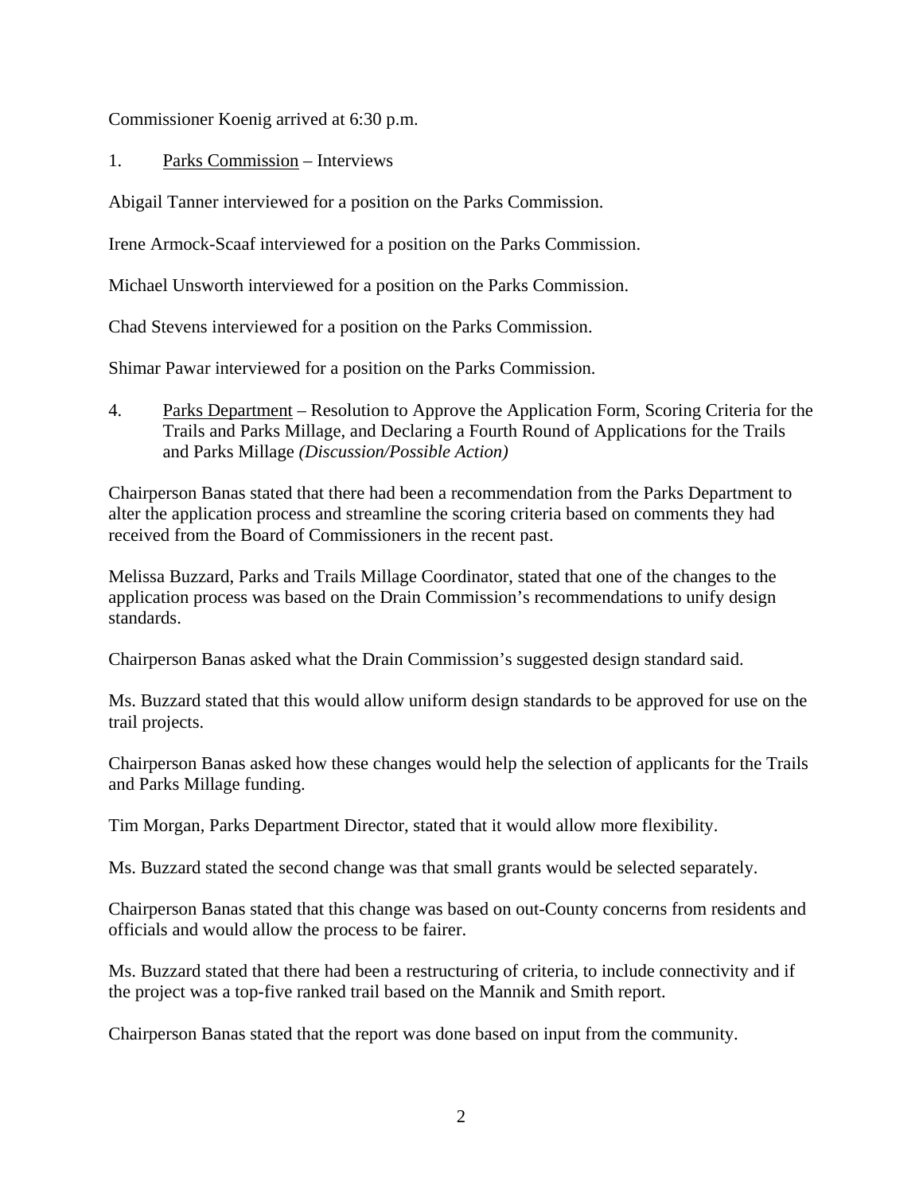Commissioner Koenig arrived at 6:30 p.m.

1. Parks Commission – Interviews

Abigail Tanner interviewed for a position on the Parks Commission.

Irene Armock-Scaaf interviewed for a position on the Parks Commission.

Michael Unsworth interviewed for a position on the Parks Commission.

Chad Stevens interviewed for a position on the Parks Commission.

Shimar Pawar interviewed for a position on the Parks Commission.

4. Parks Department – Resolution to Approve the Application Form, Scoring Criteria for the Trails and Parks Millage, and Declaring a Fourth Round of Applications for the Trails and Parks Millage *(Discussion/Possible Action)*

Chairperson Banas stated that there had been a recommendation from the Parks Department to alter the application process and streamline the scoring criteria based on comments they had received from the Board of Commissioners in the recent past.

Melissa Buzzard, Parks and Trails Millage Coordinator, stated that one of the changes to the application process was based on the Drain Commission's recommendations to unify design standards.

Chairperson Banas asked what the Drain Commission's suggested design standard said.

Ms. Buzzard stated that this would allow uniform design standards to be approved for use on the trail projects.

Chairperson Banas asked how these changes would help the selection of applicants for the Trails and Parks Millage funding.

Tim Morgan, Parks Department Director, stated that it would allow more flexibility.

Ms. Buzzard stated the second change was that small grants would be selected separately.

Chairperson Banas stated that this change was based on out-County concerns from residents and officials and would allow the process to be fairer.

Ms. Buzzard stated that there had been a restructuring of criteria, to include connectivity and if the project was a top-five ranked trail based on the Mannik and Smith report.

Chairperson Banas stated that the report was done based on input from the community.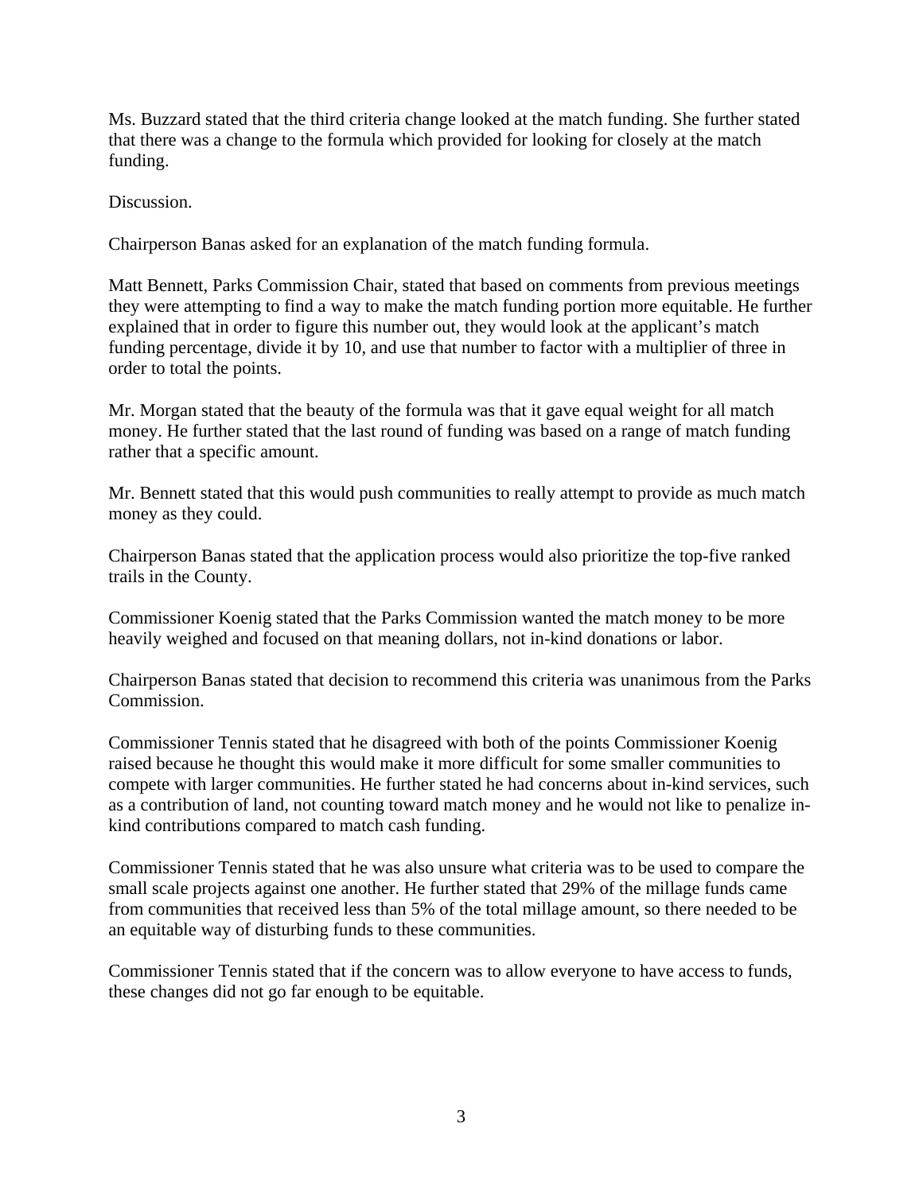Ms. Buzzard stated that the third criteria change looked at the match funding. She further stated that there was a change to the formula which provided for looking for closely at the match funding.

Discussion.

Chairperson Banas asked for an explanation of the match funding formula.

Matt Bennett, Parks Commission Chair, stated that based on comments from previous meetings they were attempting to find a way to make the match funding portion more equitable. He further explained that in order to figure this number out, they would look at the applicant's match funding percentage, divide it by 10, and use that number to factor with a multiplier of three in order to total the points.

Mr. Morgan stated that the beauty of the formula was that it gave equal weight for all match money. He further stated that the last round of funding was based on a range of match funding rather that a specific amount.

Mr. Bennett stated that this would push communities to really attempt to provide as much match money as they could.

Chairperson Banas stated that the application process would also prioritize the top-five ranked trails in the County.

Commissioner Koenig stated that the Parks Commission wanted the match money to be more heavily weighed and focused on that meaning dollars, not in-kind donations or labor.

Chairperson Banas stated that decision to recommend this criteria was unanimous from the Parks Commission.

Commissioner Tennis stated that he disagreed with both of the points Commissioner Koenig raised because he thought this would make it more difficult for some smaller communities to compete with larger communities. He further stated he had concerns about in-kind services, such as a contribution of land, not counting toward match money and he would not like to penalize inkind contributions compared to match cash funding.

Commissioner Tennis stated that he was also unsure what criteria was to be used to compare the small scale projects against one another. He further stated that 29% of the millage funds came from communities that received less than 5% of the total millage amount, so there needed to be an equitable way of disturbing funds to these communities.

Commissioner Tennis stated that if the concern was to allow everyone to have access to funds, these changes did not go far enough to be equitable.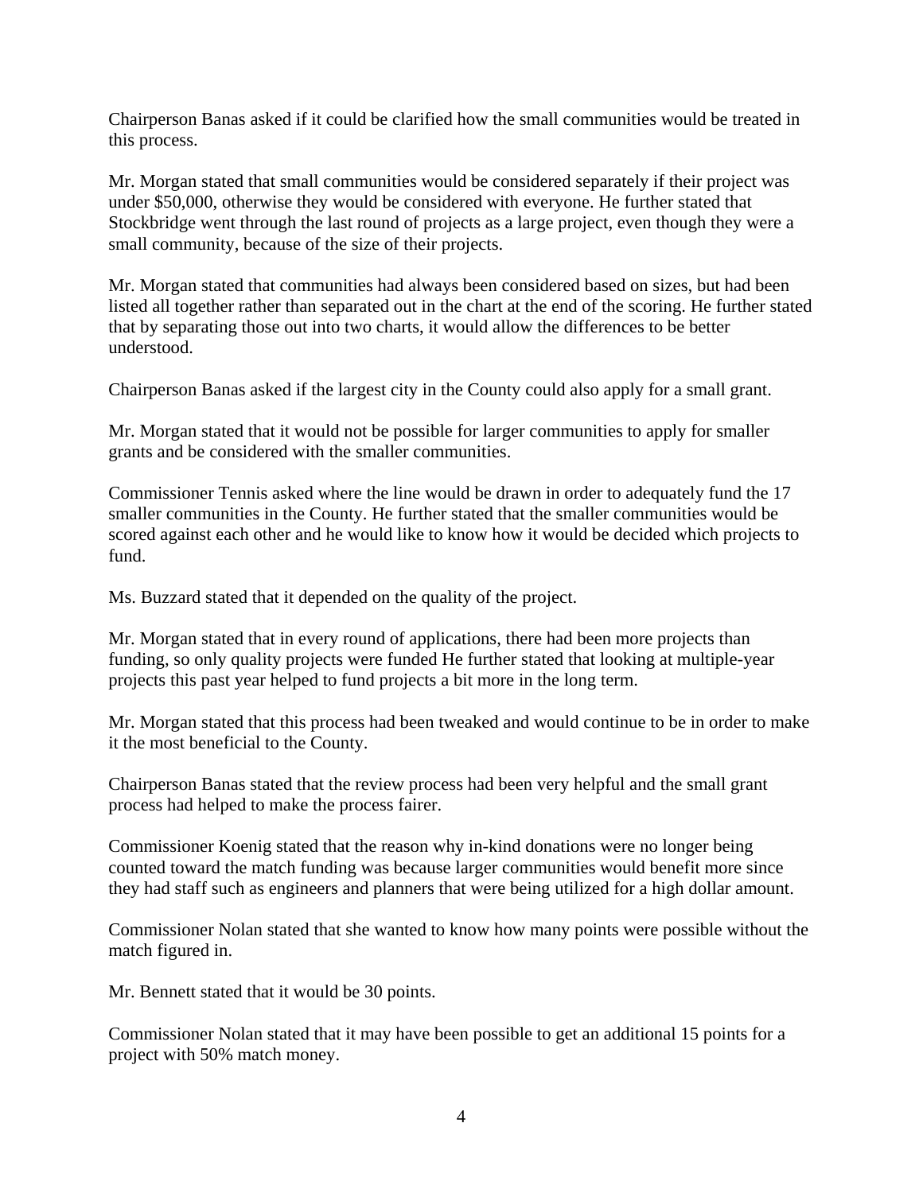Chairperson Banas asked if it could be clarified how the small communities would be treated in this process.

Mr. Morgan stated that small communities would be considered separately if their project was under \$50,000, otherwise they would be considered with everyone. He further stated that Stockbridge went through the last round of projects as a large project, even though they were a small community, because of the size of their projects.

Mr. Morgan stated that communities had always been considered based on sizes, but had been listed all together rather than separated out in the chart at the end of the scoring. He further stated that by separating those out into two charts, it would allow the differences to be better understood.

Chairperson Banas asked if the largest city in the County could also apply for a small grant.

Mr. Morgan stated that it would not be possible for larger communities to apply for smaller grants and be considered with the smaller communities.

Commissioner Tennis asked where the line would be drawn in order to adequately fund the 17 smaller communities in the County. He further stated that the smaller communities would be scored against each other and he would like to know how it would be decided which projects to fund.

Ms. Buzzard stated that it depended on the quality of the project.

Mr. Morgan stated that in every round of applications, there had been more projects than funding, so only quality projects were funded He further stated that looking at multiple-year projects this past year helped to fund projects a bit more in the long term.

Mr. Morgan stated that this process had been tweaked and would continue to be in order to make it the most beneficial to the County.

Chairperson Banas stated that the review process had been very helpful and the small grant process had helped to make the process fairer.

Commissioner Koenig stated that the reason why in-kind donations were no longer being counted toward the match funding was because larger communities would benefit more since they had staff such as engineers and planners that were being utilized for a high dollar amount.

Commissioner Nolan stated that she wanted to know how many points were possible without the match figured in.

Mr. Bennett stated that it would be 30 points.

Commissioner Nolan stated that it may have been possible to get an additional 15 points for a project with 50% match money.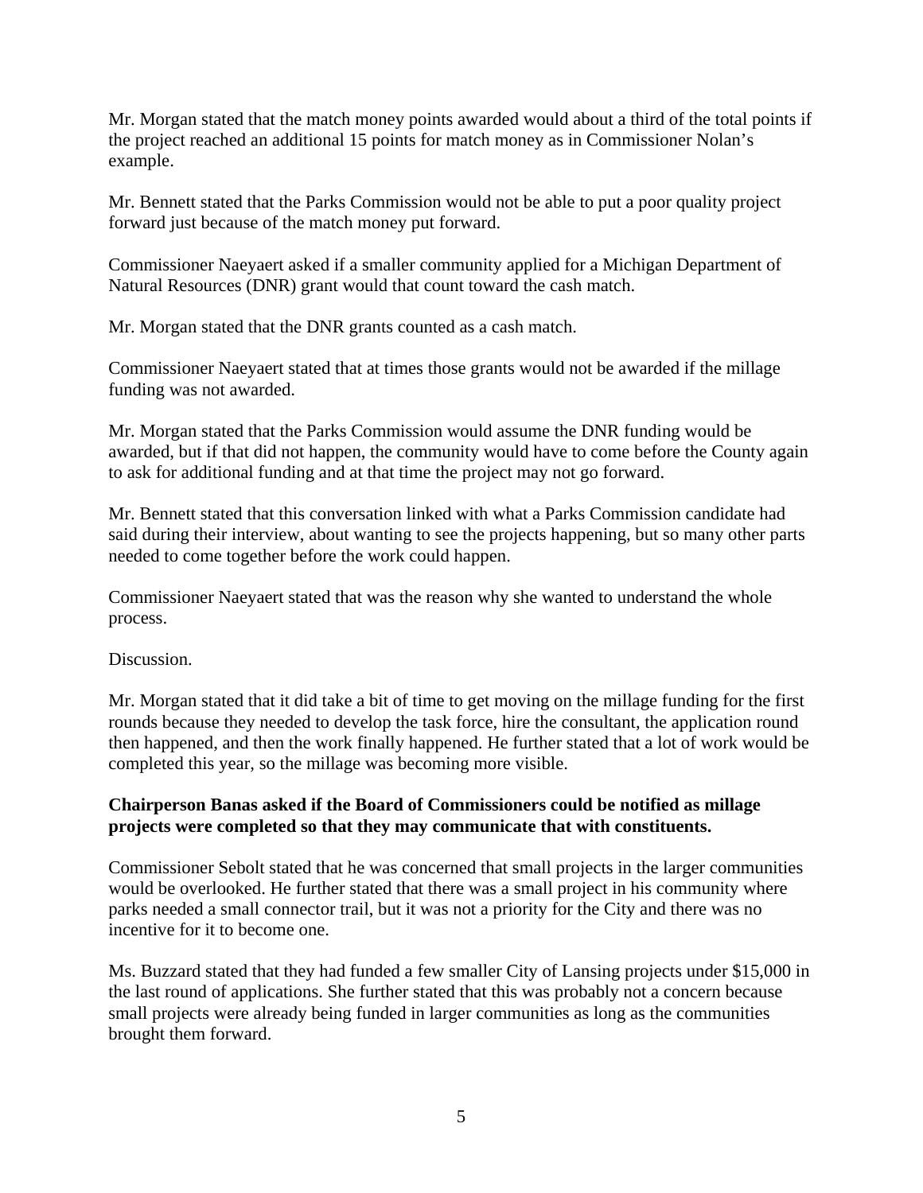Mr. Morgan stated that the match money points awarded would about a third of the total points if the project reached an additional 15 points for match money as in Commissioner Nolan's example.

Mr. Bennett stated that the Parks Commission would not be able to put a poor quality project forward just because of the match money put forward.

Commissioner Naeyaert asked if a smaller community applied for a Michigan Department of Natural Resources (DNR) grant would that count toward the cash match.

Mr. Morgan stated that the DNR grants counted as a cash match.

Commissioner Naeyaert stated that at times those grants would not be awarded if the millage funding was not awarded.

Mr. Morgan stated that the Parks Commission would assume the DNR funding would be awarded, but if that did not happen, the community would have to come before the County again to ask for additional funding and at that time the project may not go forward.

Mr. Bennett stated that this conversation linked with what a Parks Commission candidate had said during their interview, about wanting to see the projects happening, but so many other parts needed to come together before the work could happen.

Commissioner Naeyaert stated that was the reason why she wanted to understand the whole process.

Discussion.

Mr. Morgan stated that it did take a bit of time to get moving on the millage funding for the first rounds because they needed to develop the task force, hire the consultant, the application round then happened, and then the work finally happened. He further stated that a lot of work would be completed this year, so the millage was becoming more visible.

# **Chairperson Banas asked if the Board of Commissioners could be notified as millage projects were completed so that they may communicate that with constituents.**

Commissioner Sebolt stated that he was concerned that small projects in the larger communities would be overlooked. He further stated that there was a small project in his community where parks needed a small connector trail, but it was not a priority for the City and there was no incentive for it to become one.

Ms. Buzzard stated that they had funded a few smaller City of Lansing projects under \$15,000 in the last round of applications. She further stated that this was probably not a concern because small projects were already being funded in larger communities as long as the communities brought them forward.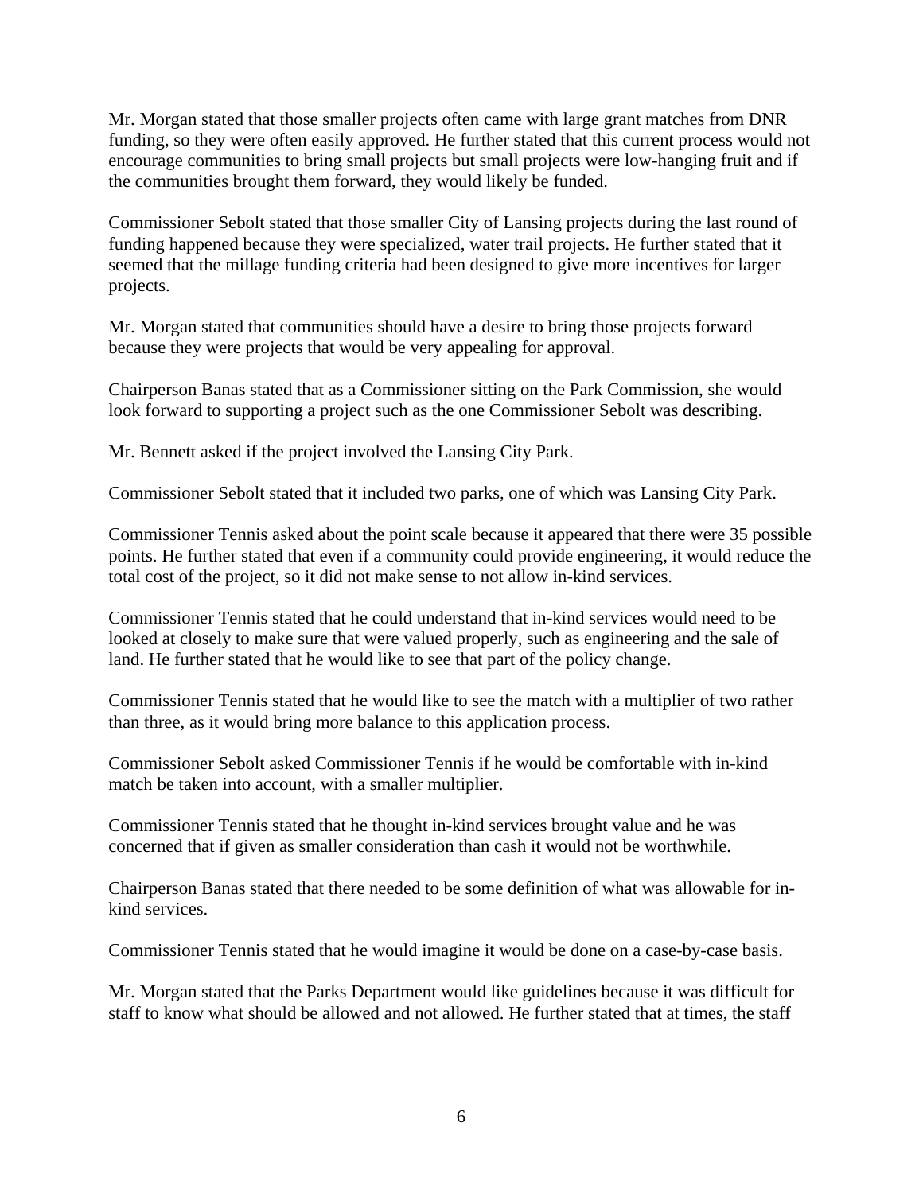Mr. Morgan stated that those smaller projects often came with large grant matches from DNR funding, so they were often easily approved. He further stated that this current process would not encourage communities to bring small projects but small projects were low-hanging fruit and if the communities brought them forward, they would likely be funded.

Commissioner Sebolt stated that those smaller City of Lansing projects during the last round of funding happened because they were specialized, water trail projects. He further stated that it seemed that the millage funding criteria had been designed to give more incentives for larger projects.

Mr. Morgan stated that communities should have a desire to bring those projects forward because they were projects that would be very appealing for approval.

Chairperson Banas stated that as a Commissioner sitting on the Park Commission, she would look forward to supporting a project such as the one Commissioner Sebolt was describing.

Mr. Bennett asked if the project involved the Lansing City Park.

Commissioner Sebolt stated that it included two parks, one of which was Lansing City Park.

Commissioner Tennis asked about the point scale because it appeared that there were 35 possible points. He further stated that even if a community could provide engineering, it would reduce the total cost of the project, so it did not make sense to not allow in-kind services.

Commissioner Tennis stated that he could understand that in-kind services would need to be looked at closely to make sure that were valued properly, such as engineering and the sale of land. He further stated that he would like to see that part of the policy change.

Commissioner Tennis stated that he would like to see the match with a multiplier of two rather than three, as it would bring more balance to this application process.

Commissioner Sebolt asked Commissioner Tennis if he would be comfortable with in-kind match be taken into account, with a smaller multiplier.

Commissioner Tennis stated that he thought in-kind services brought value and he was concerned that if given as smaller consideration than cash it would not be worthwhile.

Chairperson Banas stated that there needed to be some definition of what was allowable for inkind services.

Commissioner Tennis stated that he would imagine it would be done on a case-by-case basis.

Mr. Morgan stated that the Parks Department would like guidelines because it was difficult for staff to know what should be allowed and not allowed. He further stated that at times, the staff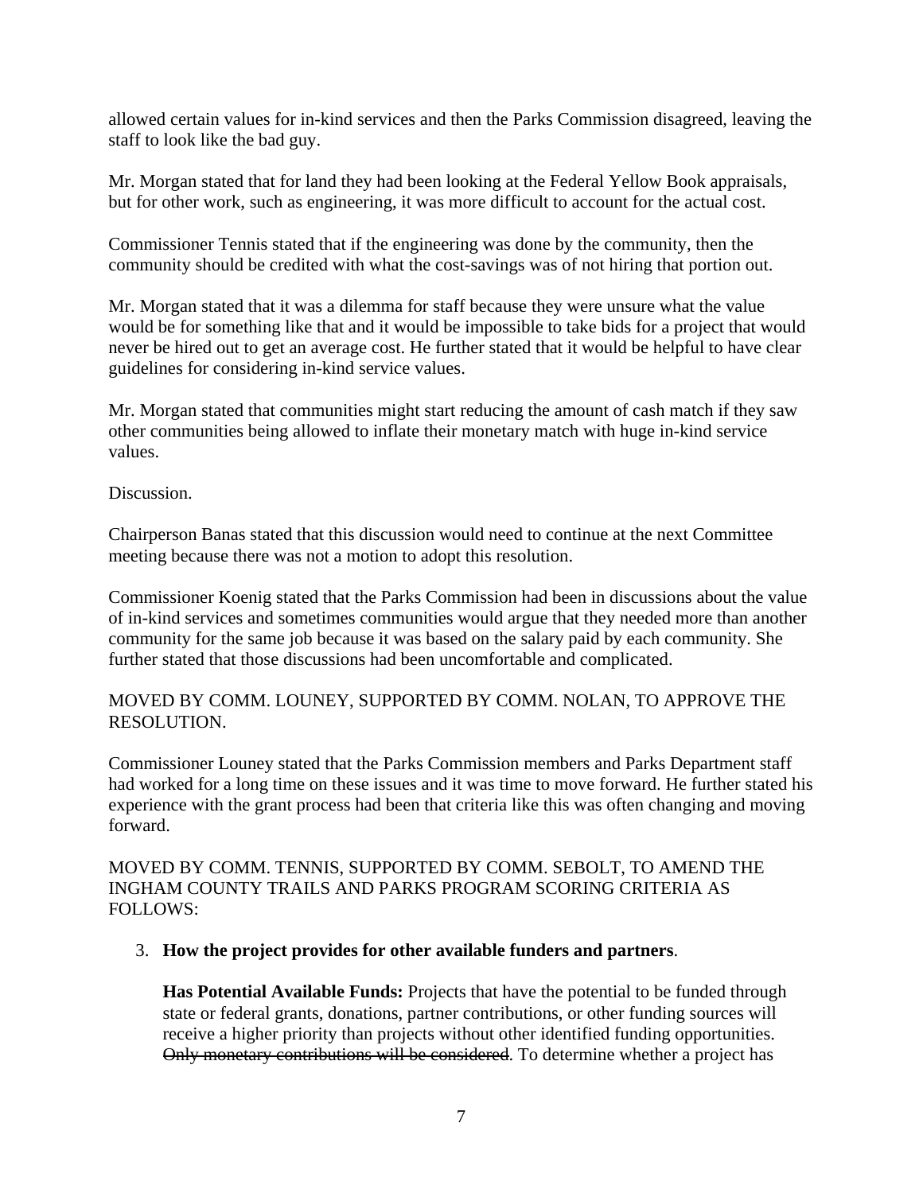allowed certain values for in-kind services and then the Parks Commission disagreed, leaving the staff to look like the bad guy.

Mr. Morgan stated that for land they had been looking at the Federal Yellow Book appraisals, but for other work, such as engineering, it was more difficult to account for the actual cost.

Commissioner Tennis stated that if the engineering was done by the community, then the community should be credited with what the cost-savings was of not hiring that portion out.

Mr. Morgan stated that it was a dilemma for staff because they were unsure what the value would be for something like that and it would be impossible to take bids for a project that would never be hired out to get an average cost. He further stated that it would be helpful to have clear guidelines for considering in-kind service values.

Mr. Morgan stated that communities might start reducing the amount of cash match if they saw other communities being allowed to inflate their monetary match with huge in-kind service values.

Discussion.

Chairperson Banas stated that this discussion would need to continue at the next Committee meeting because there was not a motion to adopt this resolution.

Commissioner Koenig stated that the Parks Commission had been in discussions about the value of in-kind services and sometimes communities would argue that they needed more than another community for the same job because it was based on the salary paid by each community. She further stated that those discussions had been uncomfortable and complicated.

# MOVED BY COMM. LOUNEY, SUPPORTED BY COMM. NOLAN, TO APPROVE THE RESOLUTION.

Commissioner Louney stated that the Parks Commission members and Parks Department staff had worked for a long time on these issues and it was time to move forward. He further stated his experience with the grant process had been that criteria like this was often changing and moving forward.

MOVED BY COMM. TENNIS, SUPPORTED BY COMM. SEBOLT, TO AMEND THE INGHAM COUNTY TRAILS AND PARKS PROGRAM SCORING CRITERIA AS FOLLOWS:

### 3. **How the project provides for other available funders and partners**.

**Has Potential Available Funds:** Projects that have the potential to be funded through state or federal grants, donations, partner contributions, or other funding sources will receive a higher priority than projects without other identified funding opportunities. Only monetary contributions will be considered. To determine whether a project has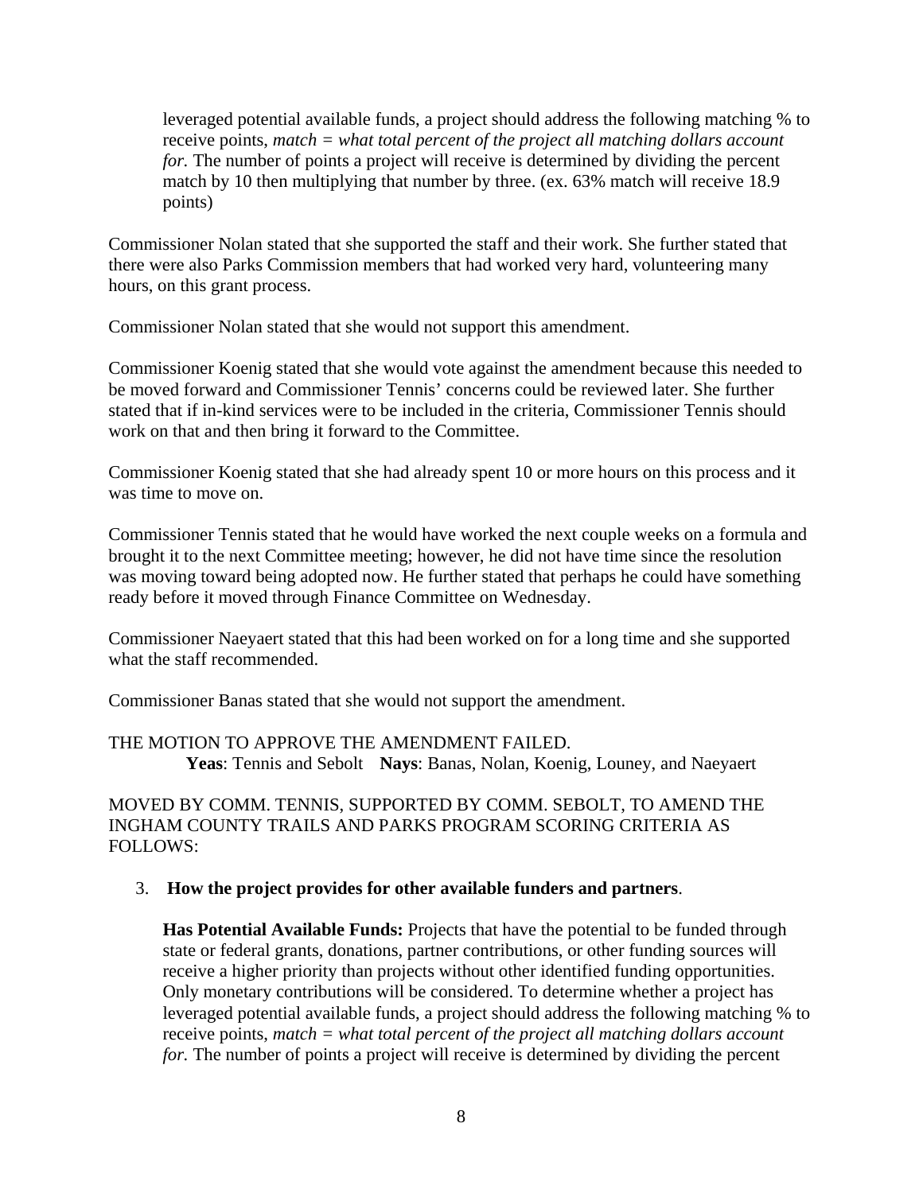leveraged potential available funds, a project should address the following matching % to receive points, *match = what total percent of the project all matching dollars account for.* The number of points a project will receive is determined by dividing the percent match by 10 then multiplying that number by three. (ex. 63% match will receive 18.9 points)

Commissioner Nolan stated that she supported the staff and their work. She further stated that there were also Parks Commission members that had worked very hard, volunteering many hours, on this grant process.

Commissioner Nolan stated that she would not support this amendment.

Commissioner Koenig stated that she would vote against the amendment because this needed to be moved forward and Commissioner Tennis' concerns could be reviewed later. She further stated that if in-kind services were to be included in the criteria, Commissioner Tennis should work on that and then bring it forward to the Committee.

Commissioner Koenig stated that she had already spent 10 or more hours on this process and it was time to move on.

Commissioner Tennis stated that he would have worked the next couple weeks on a formula and brought it to the next Committee meeting; however, he did not have time since the resolution was moving toward being adopted now. He further stated that perhaps he could have something ready before it moved through Finance Committee on Wednesday.

Commissioner Naeyaert stated that this had been worked on for a long time and she supported what the staff recommended.

Commissioner Banas stated that she would not support the amendment.

THE MOTION TO APPROVE THE AMENDMENT FAILED.  **Yeas**: Tennis and Sebolt **Nays**: Banas, Nolan, Koenig, Louney, and Naeyaert

MOVED BY COMM. TENNIS, SUPPORTED BY COMM. SEBOLT, TO AMEND THE INGHAM COUNTY TRAILS AND PARKS PROGRAM SCORING CRITERIA AS FOLLOWS:

### 3. **How the project provides for other available funders and partners**.

**Has Potential Available Funds:** Projects that have the potential to be funded through state or federal grants, donations, partner contributions, or other funding sources will receive a higher priority than projects without other identified funding opportunities. Only monetary contributions will be considered. To determine whether a project has leveraged potential available funds, a project should address the following matching % to receive points, *match = what total percent of the project all matching dollars account for.* The number of points a project will receive is determined by dividing the percent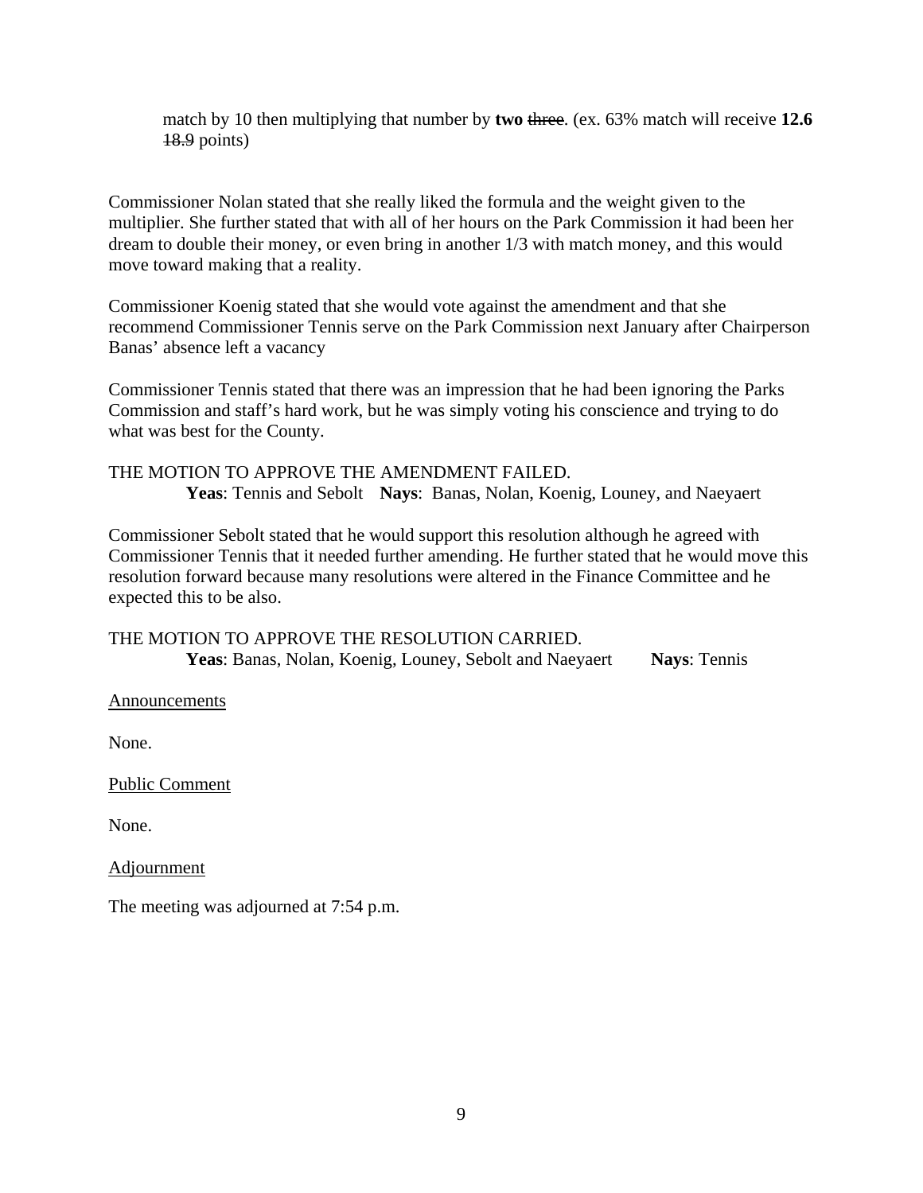match by 10 then multiplying that number by **two** three. (ex. 63% match will receive **12.6** 18.9 points)

Commissioner Nolan stated that she really liked the formula and the weight given to the multiplier. She further stated that with all of her hours on the Park Commission it had been her dream to double their money, or even bring in another 1/3 with match money, and this would move toward making that a reality.

Commissioner Koenig stated that she would vote against the amendment and that she recommend Commissioner Tennis serve on the Park Commission next January after Chairperson Banas' absence left a vacancy

Commissioner Tennis stated that there was an impression that he had been ignoring the Parks Commission and staff's hard work, but he was simply voting his conscience and trying to do what was best for the County.

THE MOTION TO APPROVE THE AMENDMENT FAILED. **Yeas**: Tennis and Sebolt **Nays**: Banas, Nolan, Koenig, Louney, and Naeyaert

Commissioner Sebolt stated that he would support this resolution although he agreed with Commissioner Tennis that it needed further amending. He further stated that he would move this resolution forward because many resolutions were altered in the Finance Committee and he expected this to be also.

THE MOTION TO APPROVE THE RESOLUTION CARRIED.  **Yeas**: Banas, Nolan, Koenig, Louney, Sebolt and Naeyaert **Nays**: Tennis

**Announcements** 

None.

Public Comment

None.

Adjournment

The meeting was adjourned at 7:54 p.m.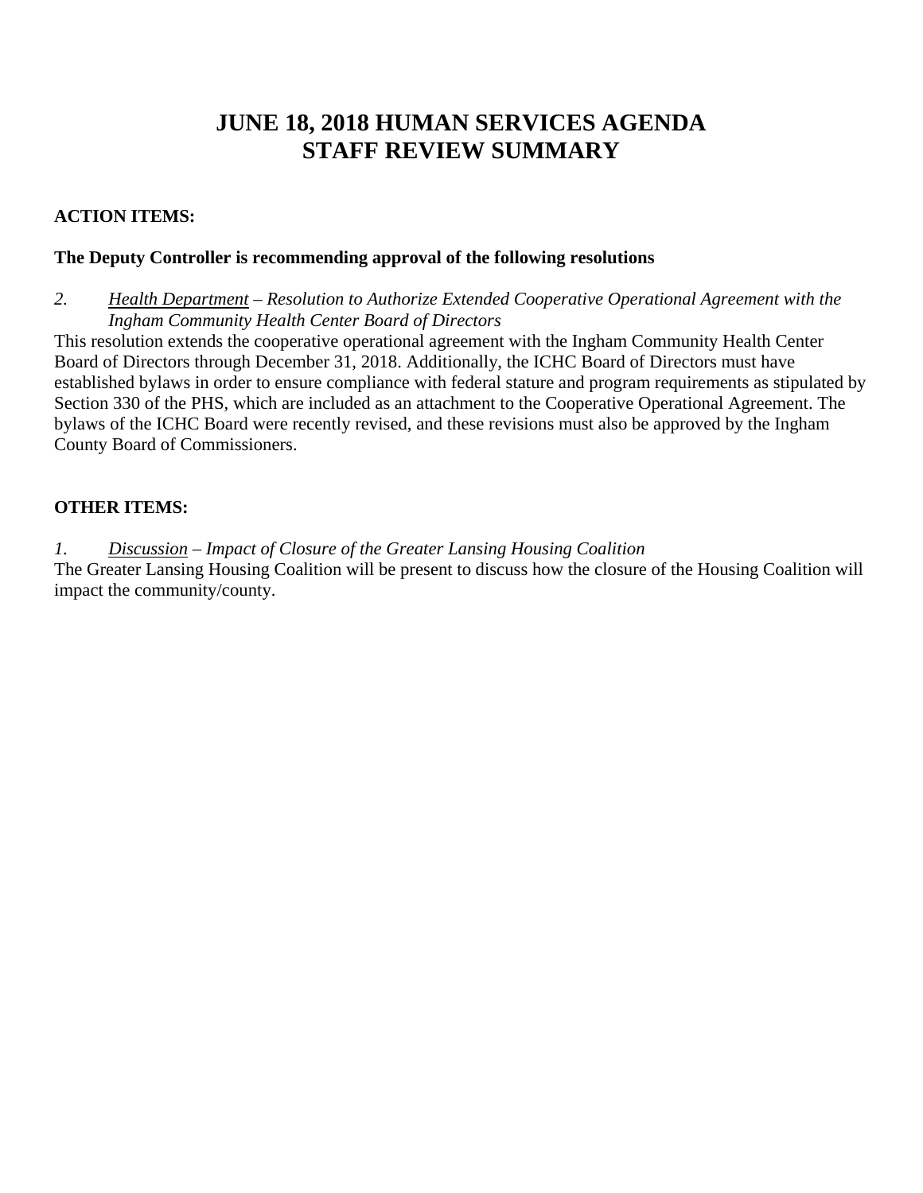# **JUNE 18, 2018 HUMAN SERVICES AGENDA STAFF REVIEW SUMMARY**

# **ACTION ITEMS:**

# **The Deputy Controller is recommending approval of the following resolutions**

*2. Health Department – Resolution to Authorize Extended Cooperative Operational Agreement with the Ingham Community Health Center Board of Directors* 

This resolution extends the cooperative operational agreement with the Ingham Community Health Center Board of Directors through December 31, 2018. Additionally, the ICHC Board of Directors must have established bylaws in order to ensure compliance with federal stature and program requirements as stipulated by Section 330 of the PHS, which are included as an attachment to the Cooperative Operational Agreement. The bylaws of the ICHC Board were recently revised, and these revisions must also be approved by the Ingham County Board of Commissioners.

# **OTHER ITEMS:**

*1. Discussion – Impact of Closure of the Greater Lansing Housing Coalition*  The Greater Lansing Housing Coalition will be present to discuss how the closure of the Housing Coalition will impact the community/county.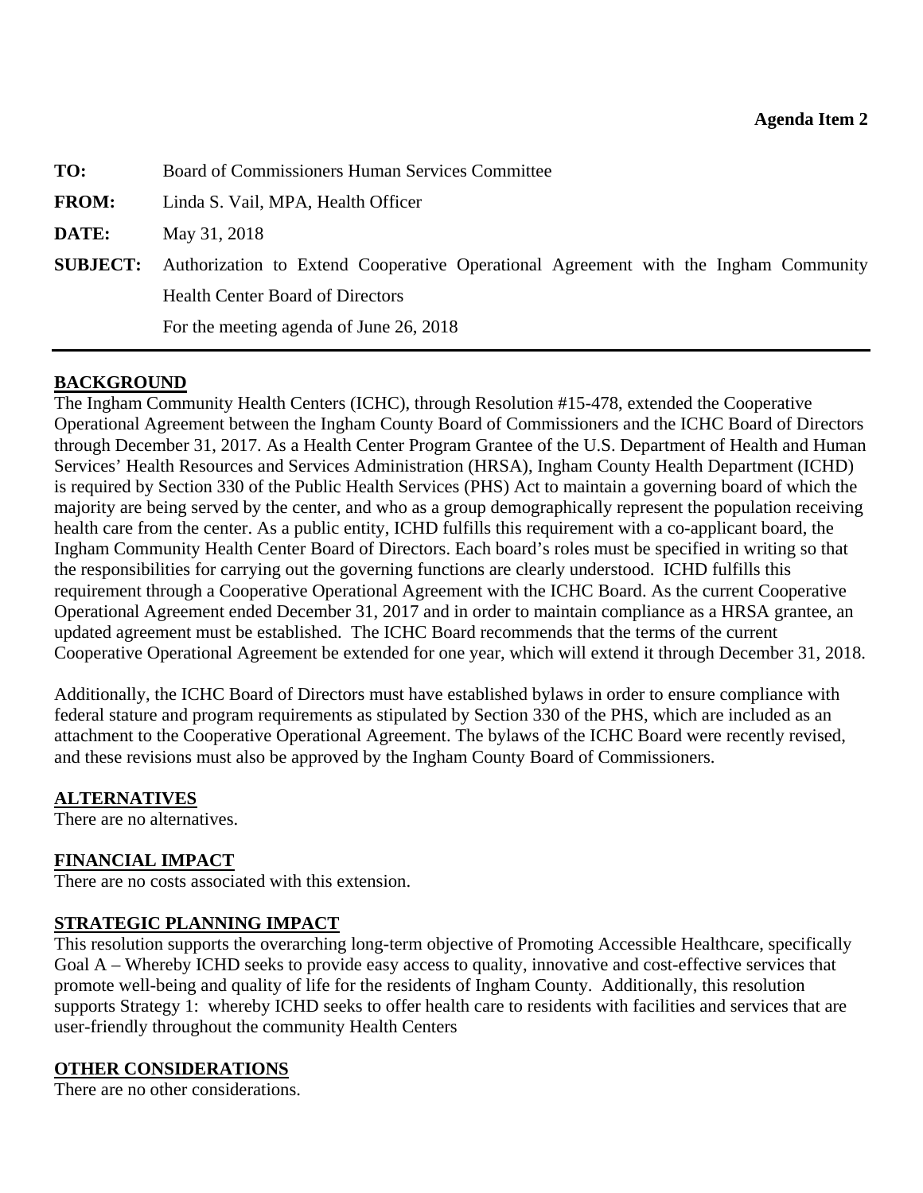<span id="page-11-0"></span>

| TO:          | Board of Commissioners Human Services Committee                                                     |  |  |
|--------------|-----------------------------------------------------------------------------------------------------|--|--|
| <b>FROM:</b> | Linda S. Vail, MPA, Health Officer                                                                  |  |  |
| <b>DATE:</b> | May 31, 2018                                                                                        |  |  |
|              | <b>SUBJECT:</b> Authorization to Extend Cooperative Operational Agreement with the Ingham Community |  |  |
|              | <b>Health Center Board of Directors</b>                                                             |  |  |
|              | For the meeting agenda of June 26, 2018                                                             |  |  |
|              |                                                                                                     |  |  |

# **BACKGROUND**

The Ingham Community Health Centers (ICHC), through Resolution #15-478, extended the Cooperative Operational Agreement between the Ingham County Board of Commissioners and the ICHC Board of Directors through December 31, 2017. As a Health Center Program Grantee of the U.S. Department of Health and Human Services' Health Resources and Services Administration (HRSA), Ingham County Health Department (ICHD) is required by Section 330 of the Public Health Services (PHS) Act to maintain a governing board of which the majority are being served by the center, and who as a group demographically represent the population receiving health care from the center. As a public entity, ICHD fulfills this requirement with a co-applicant board, the Ingham Community Health Center Board of Directors. Each board's roles must be specified in writing so that the responsibilities for carrying out the governing functions are clearly understood. ICHD fulfills this requirement through a Cooperative Operational Agreement with the ICHC Board. As the current Cooperative Operational Agreement ended December 31, 2017 and in order to maintain compliance as a HRSA grantee, an updated agreement must be established. The ICHC Board recommends that the terms of the current Cooperative Operational Agreement be extended for one year, which will extend it through December 31, 2018.

Additionally, the ICHC Board of Directors must have established bylaws in order to ensure compliance with federal stature and program requirements as stipulated by Section 330 of the PHS, which are included as an attachment to the Cooperative Operational Agreement. The bylaws of the ICHC Board were recently revised, and these revisions must also be approved by the Ingham County Board of Commissioners.

# **ALTERNATIVES**

There are no alternatives.

# **FINANCIAL IMPACT**

There are no costs associated with this extension.

# **STRATEGIC PLANNING IMPACT**

This resolution supports the overarching long-term objective of Promoting Accessible Healthcare, specifically Goal A – Whereby ICHD seeks to provide easy access to quality, innovative and cost-effective services that promote well-being and quality of life for the residents of Ingham County. Additionally, this resolution supports Strategy 1: whereby ICHD seeks to offer health care to residents with facilities and services that are user-friendly throughout the community Health Centers

# **OTHER CONSIDERATIONS**

There are no other considerations.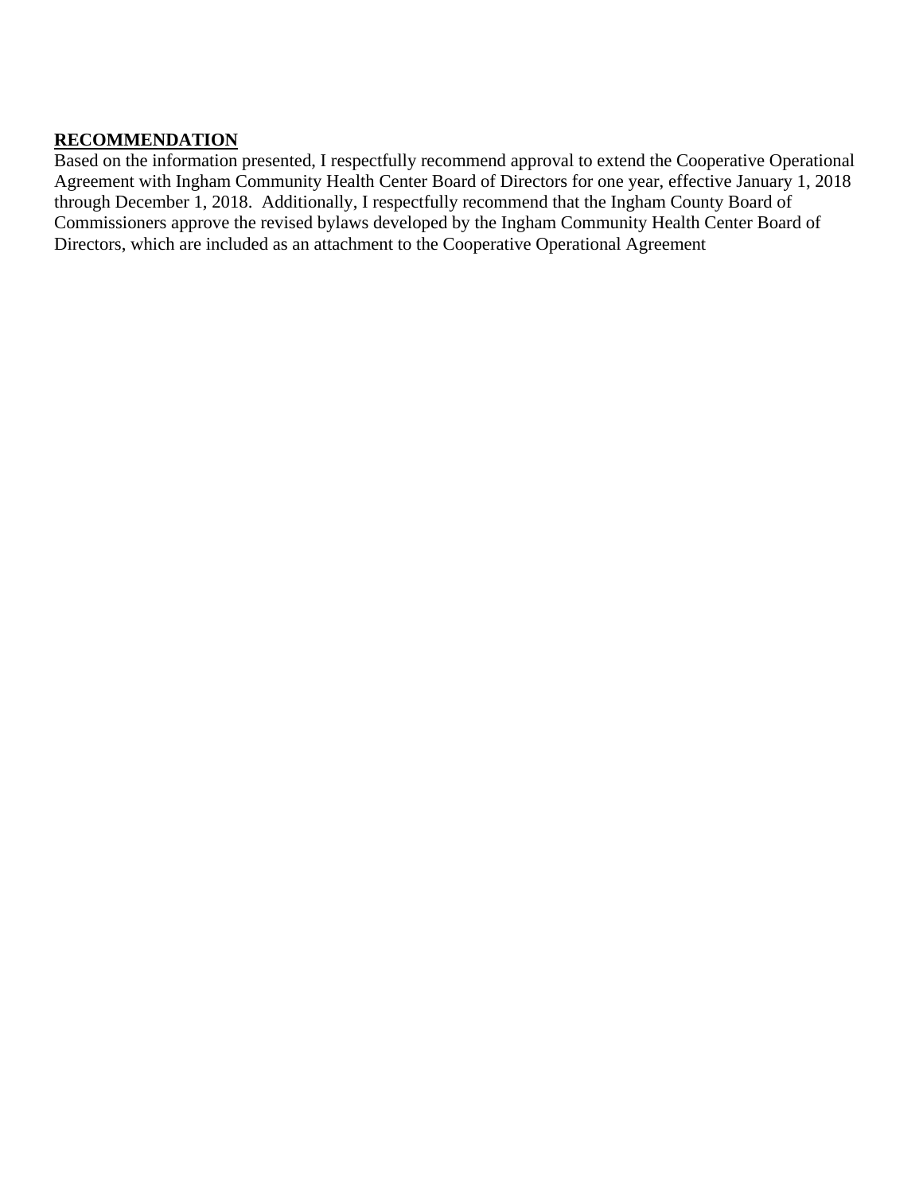# **RECOMMENDATION**

Based on the information presented, I respectfully recommend approval to extend the Cooperative Operational Agreement with Ingham Community Health Center Board of Directors for one year, effective January 1, 2018 through December 1, 2018. Additionally, I respectfully recommend that the Ingham County Board of Commissioners approve the revised bylaws developed by the Ingham Community Health Center Board of Directors, which are included as an attachment to the Cooperative Operational Agreement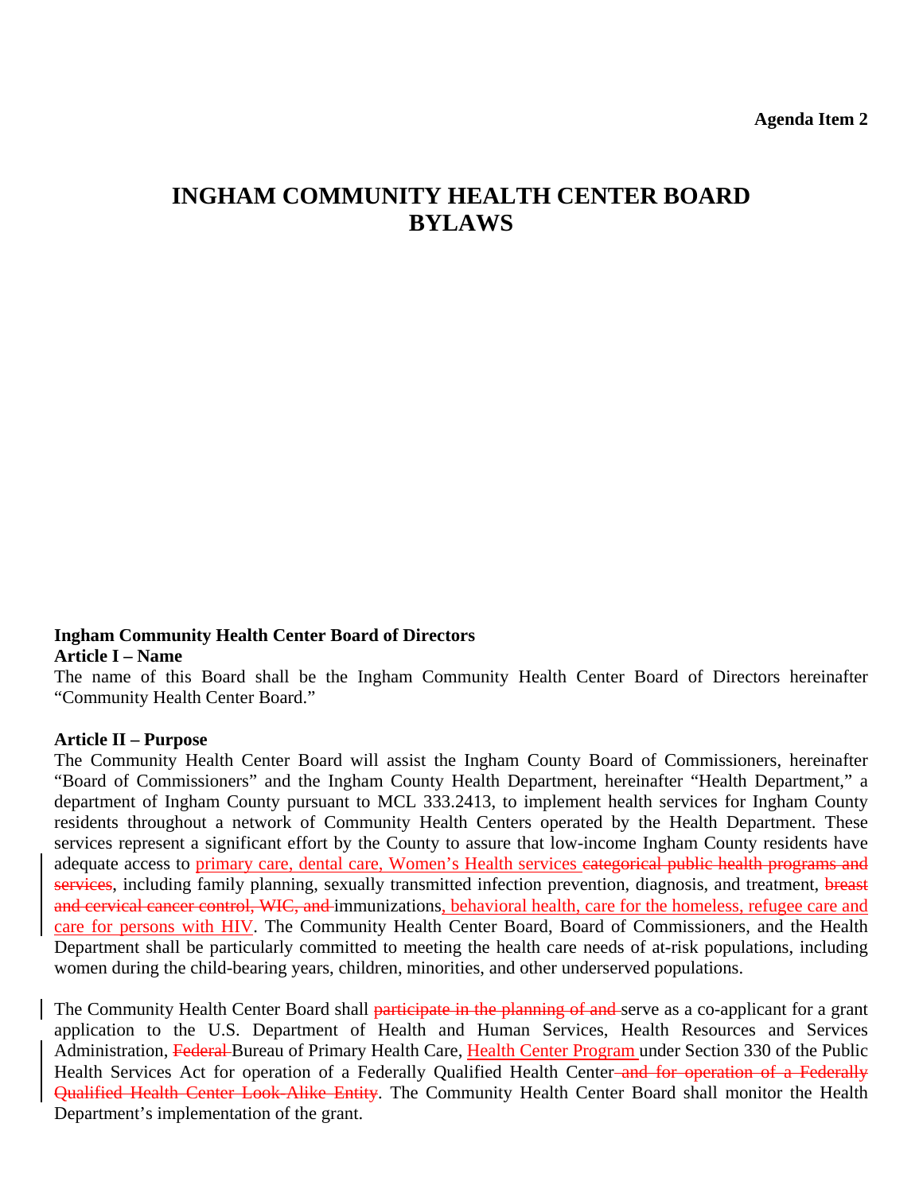# **INGHAM COMMUNITY HEALTH CENTER BOARD BYLAWS**

### **Ingham Community Health Center Board of Directors Article I – Name**

The name of this Board shall be the Ingham Community Health Center Board of Directors hereinafter "Community Health Center Board."

### **Article II – Purpose**

The Community Health Center Board will assist the Ingham County Board of Commissioners, hereinafter "Board of Commissioners" and the Ingham County Health Department, hereinafter "Health Department," a department of Ingham County pursuant to MCL 333.2413, to implement health services for Ingham County residents throughout a network of Community Health Centers operated by the Health Department. These services represent a significant effort by the County to assure that low-income Ingham County residents have adequate access to primary care, dental care, Women's Health services eategorical public health programs and services, including family planning, sexually transmitted infection prevention, diagnosis, and treatment, breast and cervical cancer control, WIC, and immunizations, behavioral health, care for the homeless, refugee care and care for persons with HIV. The Community Health Center Board, Board of Commissioners, and the Health Department shall be particularly committed to meeting the health care needs of at-risk populations, including women during the child-bearing years, children, minorities, and other underserved populations.

The Community Health Center Board shall participate in the planning of and serve as a co-applicant for a grant application to the U.S. Department of Health and Human Services, Health Resources and Services Administration, Federal Bureau of Primary Health Care, Health Center Program under Section 330 of the Public Health Services Act for operation of a Federally Qualified Health Center-and for operation of a Federally Qualified Health Center Look-Alike Entity. The Community Health Center Board shall monitor the Health Department's implementation of the grant.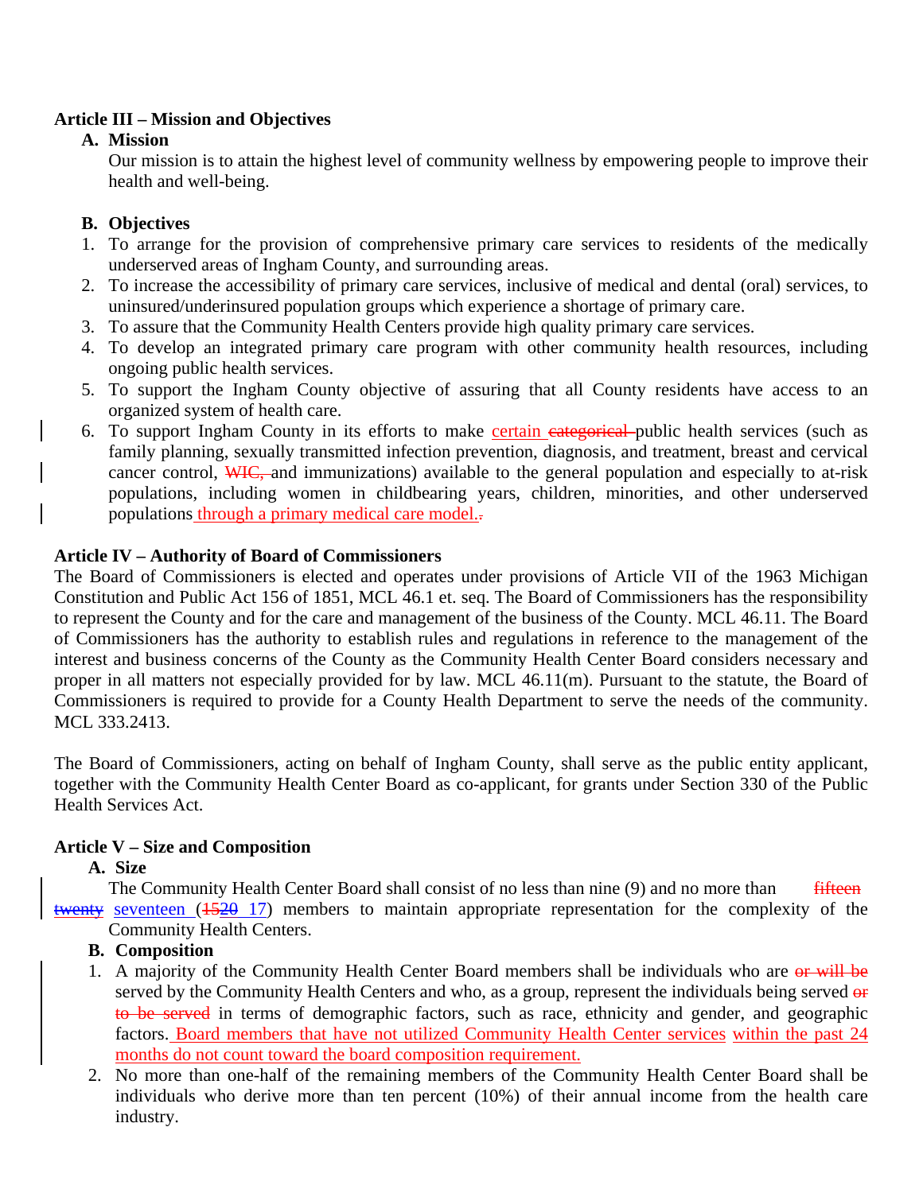# **Article III – Mission and Objectives**

# **A. Mission**

Our mission is to attain the highest level of community wellness by empowering people to improve their health and well-being.

# **B. Objectives**

- 1. To arrange for the provision of comprehensive primary care services to residents of the medically underserved areas of Ingham County, and surrounding areas.
- 2. To increase the accessibility of primary care services, inclusive of medical and dental (oral) services, to uninsured/underinsured population groups which experience a shortage of primary care.
- 3. To assure that the Community Health Centers provide high quality primary care services.
- 4. To develop an integrated primary care program with other community health resources, including ongoing public health services.
- 5. To support the Ingham County objective of assuring that all County residents have access to an organized system of health care.
- 6. To support Ingham County in its efforts to make certain categorical public health services (such as family planning, sexually transmitted infection prevention, diagnosis, and treatment, breast and cervical cancer control, WIC, and immunizations) available to the general population and especially to at-risk populations, including women in childbearing years, children, minorities, and other underserved populations through a primary medical care model..

# **Article IV – Authority of Board of Commissioners**

The Board of Commissioners is elected and operates under provisions of Article VII of the 1963 Michigan Constitution and Public Act 156 of 1851, MCL 46.1 et. seq. The Board of Commissioners has the responsibility to represent the County and for the care and management of the business of the County. MCL 46.11. The Board of Commissioners has the authority to establish rules and regulations in reference to the management of the interest and business concerns of the County as the Community Health Center Board considers necessary and proper in all matters not especially provided for by law. MCL 46.11(m). Pursuant to the statute, the Board of Commissioners is required to provide for a County Health Department to serve the needs of the community. MCL 333.2413.

The Board of Commissioners, acting on behalf of Ingham County, shall serve as the public entity applicant, together with the Community Health Center Board as co-applicant, for grants under Section 330 of the Public Health Services Act.

# **Article V – Size and Composition**

# **A. Size**

The Community Health Center Board shall consist of no less than nine (9) and no more than fifteen twenty seventeen ( $\frac{1520}{17}$ ) members to maintain appropriate representation for the complexity of the Community Health Centers.

# **B. Composition**

- 1. A majority of the Community Health Center Board members shall be individuals who are or will be served by the Community Health Centers and who, as a group, represent the individuals being served or to be served in terms of demographic factors, such as race, ethnicity and gender, and geographic factors. Board members that have not utilized Community Health Center services within the past 24 months do not count toward the board composition requirement.
- 2. No more than one-half of the remaining members of the Community Health Center Board shall be individuals who derive more than ten percent (10%) of their annual income from the health care industry.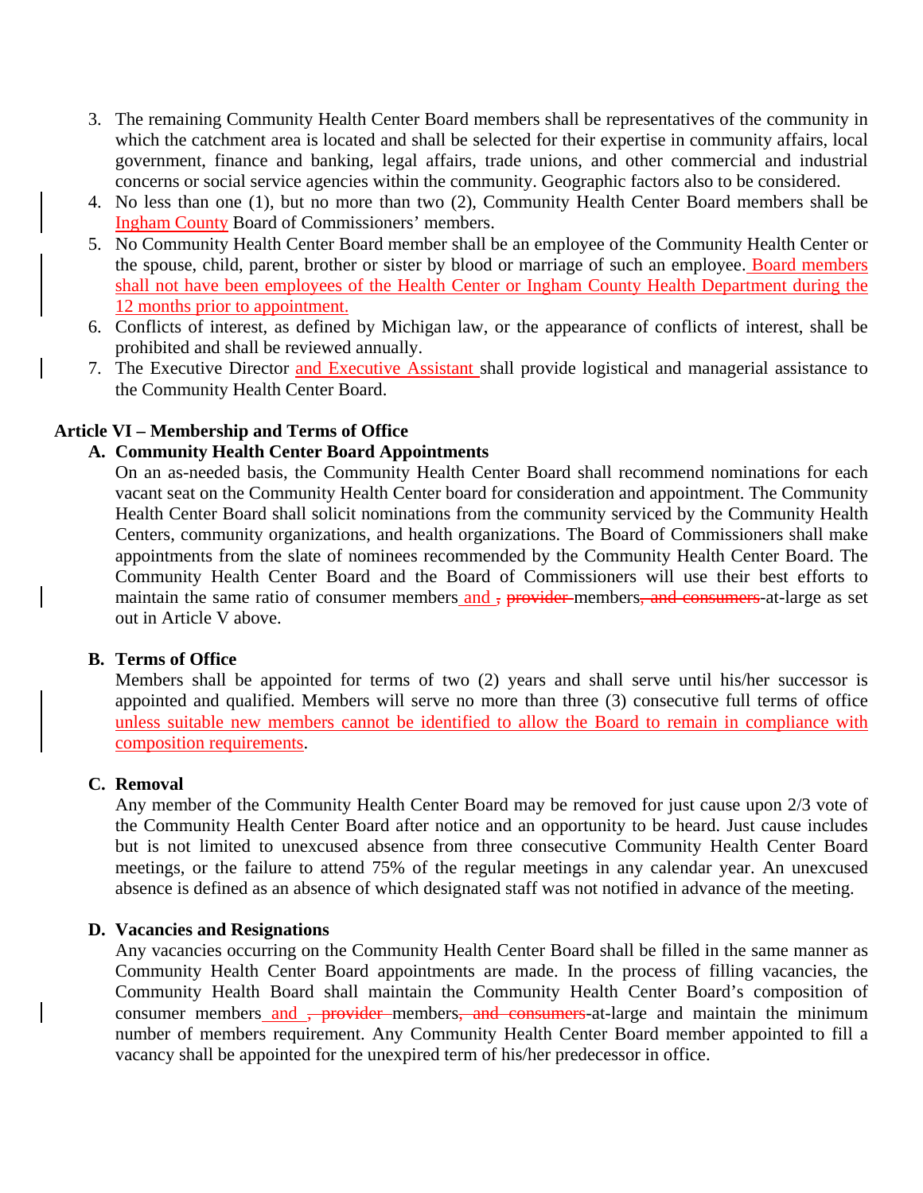- 3. The remaining Community Health Center Board members shall be representatives of the community in which the catchment area is located and shall be selected for their expertise in community affairs, local government, finance and banking, legal affairs, trade unions, and other commercial and industrial concerns or social service agencies within the community. Geographic factors also to be considered.
- 4. No less than one (1), but no more than two (2), Community Health Center Board members shall be Ingham County Board of Commissioners' members.
- 5. No Community Health Center Board member shall be an employee of the Community Health Center or the spouse, child, parent, brother or sister by blood or marriage of such an employee. Board members shall not have been employees of the Health Center or Ingham County Health Department during the 12 months prior to appointment.
- 6. Conflicts of interest, as defined by Michigan law, or the appearance of conflicts of interest, shall be prohibited and shall be reviewed annually.
- 7. The Executive Director and Executive Assistant shall provide logistical and managerial assistance to the Community Health Center Board.

### **Article VI – Membership and Terms of Office**

# **A. Community Health Center Board Appointments**

On an as-needed basis, the Community Health Center Board shall recommend nominations for each vacant seat on the Community Health Center board for consideration and appointment. The Community Health Center Board shall solicit nominations from the community serviced by the Community Health Centers, community organizations, and health organizations. The Board of Commissioners shall make appointments from the slate of nominees recommended by the Community Health Center Board. The Community Health Center Board and the Board of Commissioners will use their best efforts to maintain the same ratio of consumer members and, provider-members, and consumers-at-large as set out in Article V above.

### **B. Terms of Office**

Members shall be appointed for terms of two (2) years and shall serve until his/her successor is appointed and qualified. Members will serve no more than three (3) consecutive full terms of office unless suitable new members cannot be identified to allow the Board to remain in compliance with composition requirements.

### **C. Removal**

Any member of the Community Health Center Board may be removed for just cause upon 2/3 vote of the Community Health Center Board after notice and an opportunity to be heard. Just cause includes but is not limited to unexcused absence from three consecutive Community Health Center Board meetings, or the failure to attend 75% of the regular meetings in any calendar year. An unexcused absence is defined as an absence of which designated staff was not notified in advance of the meeting.

### **D. Vacancies and Resignations**

Any vacancies occurring on the Community Health Center Board shall be filled in the same manner as Community Health Center Board appointments are made. In the process of filling vacancies, the Community Health Board shall maintain the Community Health Center Board's composition of consumer members and <del>, provider</del> members, and consumers-at-large and maintain the minimum number of members requirement. Any Community Health Center Board member appointed to fill a vacancy shall be appointed for the unexpired term of his/her predecessor in office.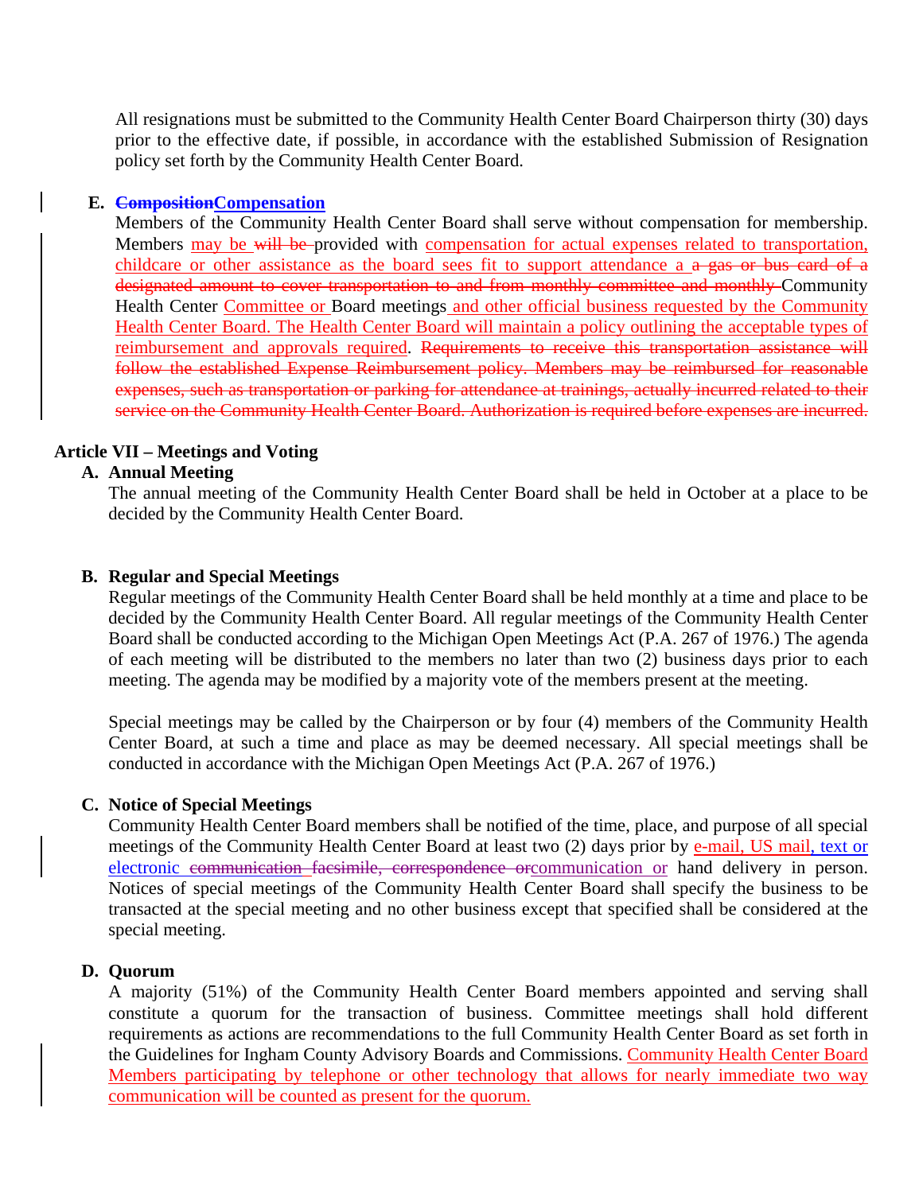All resignations must be submitted to the Community Health Center Board Chairperson thirty (30) days prior to the effective date, if possible, in accordance with the established Submission of Resignation policy set forth by the Community Health Center Board.

### **E. CompositionCompensation**

Members of the Community Health Center Board shall serve without compensation for membership. Members may be will be provided with compensation for actual expenses related to transportation, childcare or other assistance as the board sees fit to support attendance a a gas or bus card of a designated amount to cover transportation to and from monthly committee and monthly Community Health Center Committee or Board meetings and other official business requested by the Community Health Center Board. The Health Center Board will maintain a policy outlining the acceptable types of reimbursement and approvals required. Requirements to receive this transportation assistance will follow the established Expense Reimbursement policy. Members may be reimbursed for reasonable expenses, such as transportation or parking for attendance at trainings, actually incurred related to their service on the Community Health Center Board. Authorization is required before expenses are incurred.

### **Article VII – Meetings and Voting**

### **A. Annual Meeting**

The annual meeting of the Community Health Center Board shall be held in October at a place to be decided by the Community Health Center Board.

### **B. Regular and Special Meetings**

Regular meetings of the Community Health Center Board shall be held monthly at a time and place to be decided by the Community Health Center Board. All regular meetings of the Community Health Center Board shall be conducted according to the Michigan Open Meetings Act (P.A. 267 of 1976.) The agenda of each meeting will be distributed to the members no later than two (2) business days prior to each meeting. The agenda may be modified by a majority vote of the members present at the meeting.

Special meetings may be called by the Chairperson or by four (4) members of the Community Health Center Board, at such a time and place as may be deemed necessary. All special meetings shall be conducted in accordance with the Michigan Open Meetings Act (P.A. 267 of 1976.)

### **C. Notice of Special Meetings**

Community Health Center Board members shall be notified of the time, place, and purpose of all special meetings of the Community Health Center Board at least two (2) days prior by e-mail, US mail, text or electronic communication facsimile, correspondence orcommunication or hand delivery in person. Notices of special meetings of the Community Health Center Board shall specify the business to be transacted at the special meeting and no other business except that specified shall be considered at the special meeting.

### **D. Quorum**

A majority (51%) of the Community Health Center Board members appointed and serving shall constitute a quorum for the transaction of business. Committee meetings shall hold different requirements as actions are recommendations to the full Community Health Center Board as set forth in the Guidelines for Ingham County Advisory Boards and Commissions. Community Health Center Board Members participating by telephone or other technology that allows for nearly immediate two way communication will be counted as present for the quorum.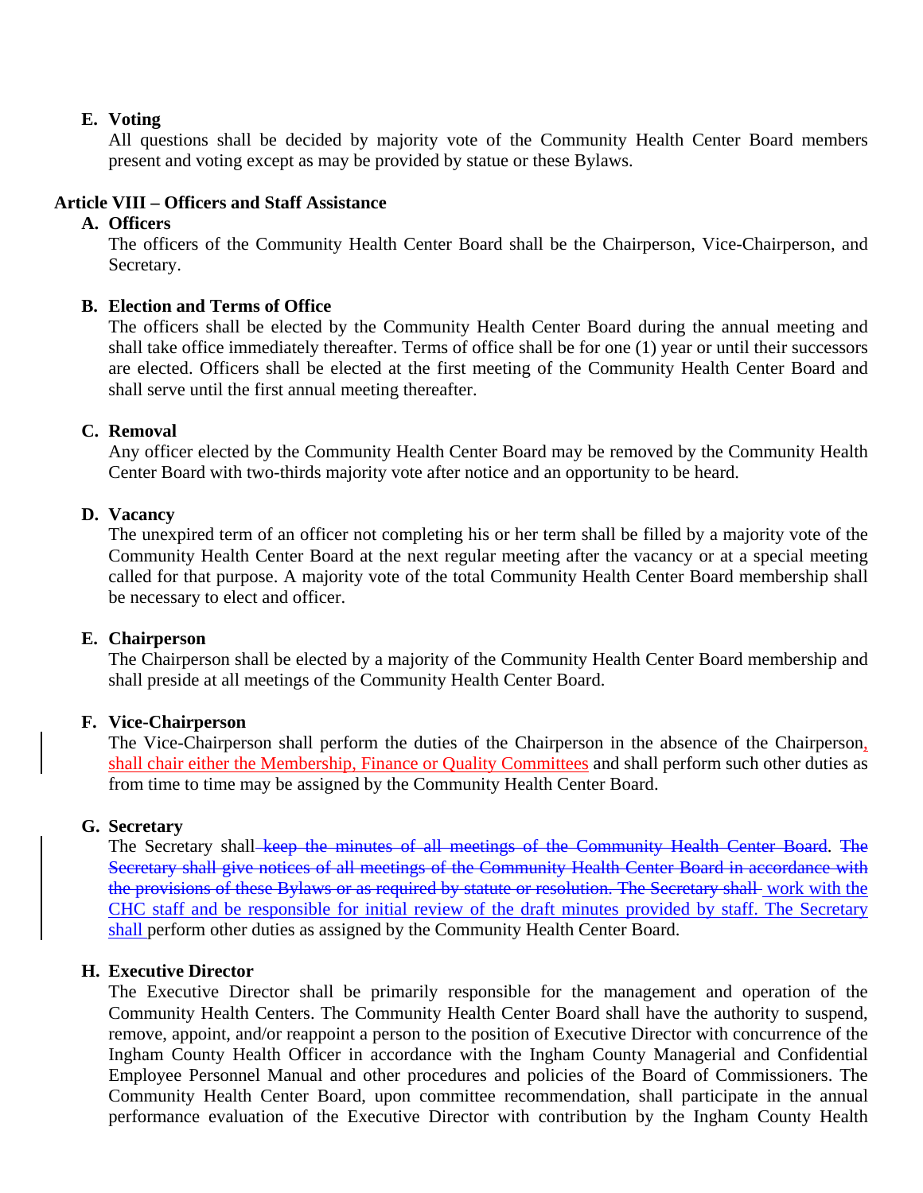### **E. Voting**

All questions shall be decided by majority vote of the Community Health Center Board members present and voting except as may be provided by statue or these Bylaws.

# **Article VIII – Officers and Staff Assistance**

## **A. Officers**

The officers of the Community Health Center Board shall be the Chairperson, Vice-Chairperson, and Secretary.

# **B. Election and Terms of Office**

The officers shall be elected by the Community Health Center Board during the annual meeting and shall take office immediately thereafter. Terms of office shall be for one (1) year or until their successors are elected. Officers shall be elected at the first meeting of the Community Health Center Board and shall serve until the first annual meeting thereafter.

### **C. Removal**

Any officer elected by the Community Health Center Board may be removed by the Community Health Center Board with two-thirds majority vote after notice and an opportunity to be heard.

### **D. Vacancy**

The unexpired term of an officer not completing his or her term shall be filled by a majority vote of the Community Health Center Board at the next regular meeting after the vacancy or at a special meeting called for that purpose. A majority vote of the total Community Health Center Board membership shall be necessary to elect and officer.

### **E. Chairperson**

The Chairperson shall be elected by a majority of the Community Health Center Board membership and shall preside at all meetings of the Community Health Center Board.

### **F. Vice-Chairperson**

The Vice-Chairperson shall perform the duties of the Chairperson in the absence of the Chairperson, shall chair either the Membership, Finance or Quality Committees and shall perform such other duties as from time to time may be assigned by the Community Health Center Board.

### **G. Secretary**

The Secretary shall keep the minutes of all meetings of the Community Health Center Board. The Secretary shall give notices of all meetings of the Community Health Center Board in accordance with the provisions of these Bylaws or as required by statute or resolution. The Secretary shall work with the CHC staff and be responsible for initial review of the draft minutes provided by staff. The Secretary shall perform other duties as assigned by the Community Health Center Board.

### **H. Executive Director**

The Executive Director shall be primarily responsible for the management and operation of the Community Health Centers. The Community Health Center Board shall have the authority to suspend, remove, appoint, and/or reappoint a person to the position of Executive Director with concurrence of the Ingham County Health Officer in accordance with the Ingham County Managerial and Confidential Employee Personnel Manual and other procedures and policies of the Board of Commissioners. The Community Health Center Board, upon committee recommendation, shall participate in the annual performance evaluation of the Executive Director with contribution by the Ingham County Health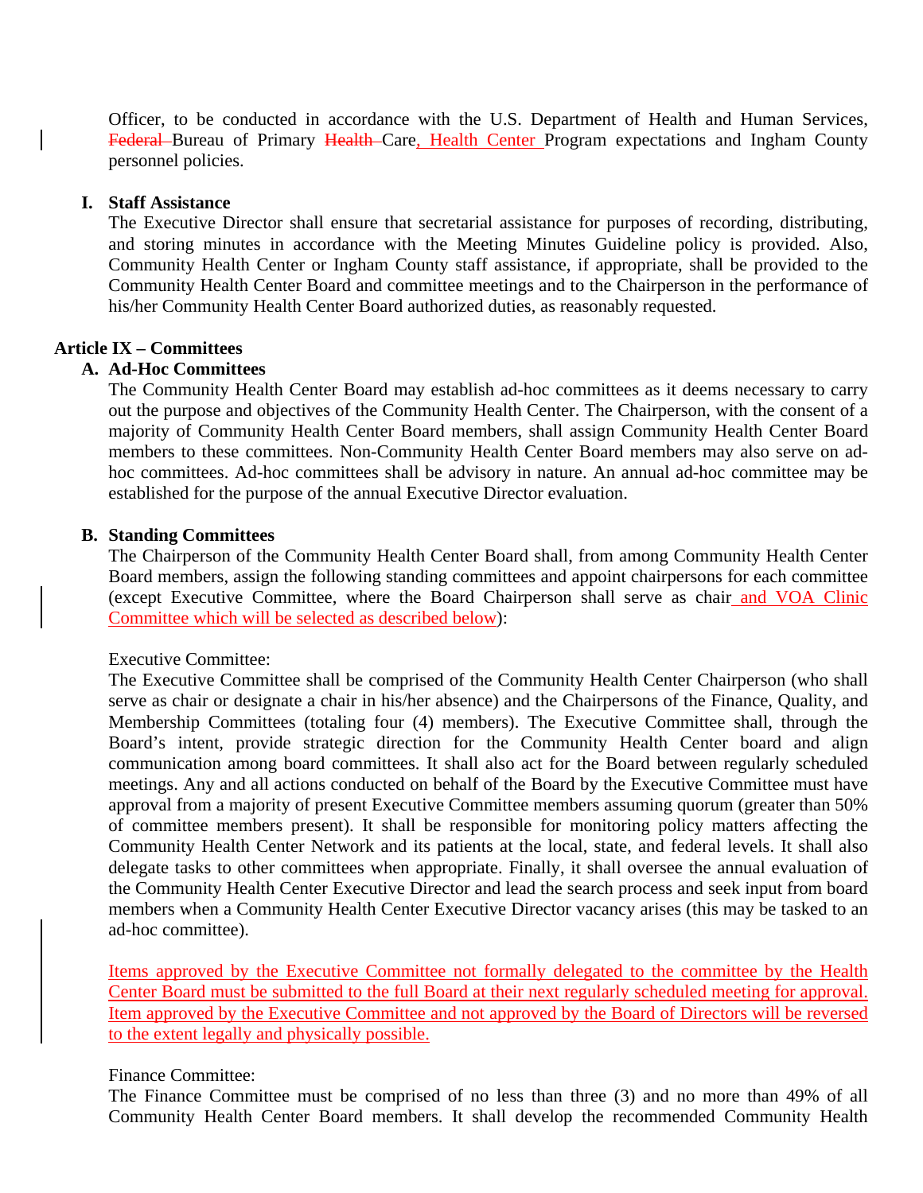Officer, to be conducted in accordance with the U.S. Department of Health and Human Services, Federal Bureau of Primary Health Care, Health Center Program expectations and Ingham County personnel policies.

### **I. Staff Assistance**

The Executive Director shall ensure that secretarial assistance for purposes of recording, distributing, and storing minutes in accordance with the Meeting Minutes Guideline policy is provided. Also, Community Health Center or Ingham County staff assistance, if appropriate, shall be provided to the Community Health Center Board and committee meetings and to the Chairperson in the performance of his/her Community Health Center Board authorized duties, as reasonably requested.

### **Article IX – Committees**

### **A. Ad-Hoc Committees**

The Community Health Center Board may establish ad-hoc committees as it deems necessary to carry out the purpose and objectives of the Community Health Center. The Chairperson, with the consent of a majority of Community Health Center Board members, shall assign Community Health Center Board members to these committees. Non-Community Health Center Board members may also serve on adhoc committees. Ad-hoc committees shall be advisory in nature. An annual ad-hoc committee may be established for the purpose of the annual Executive Director evaluation.

### **B. Standing Committees**

The Chairperson of the Community Health Center Board shall, from among Community Health Center Board members, assign the following standing committees and appoint chairpersons for each committee (except Executive Committee, where the Board Chairperson shall serve as chair and VOA Clinic Committee which will be selected as described below):

### Executive Committee:

The Executive Committee shall be comprised of the Community Health Center Chairperson (who shall serve as chair or designate a chair in his/her absence) and the Chairpersons of the Finance, Quality, and Membership Committees (totaling four (4) members). The Executive Committee shall, through the Board's intent, provide strategic direction for the Community Health Center board and align communication among board committees. It shall also act for the Board between regularly scheduled meetings. Any and all actions conducted on behalf of the Board by the Executive Committee must have approval from a majority of present Executive Committee members assuming quorum (greater than 50% of committee members present). It shall be responsible for monitoring policy matters affecting the Community Health Center Network and its patients at the local, state, and federal levels. It shall also delegate tasks to other committees when appropriate. Finally, it shall oversee the annual evaluation of the Community Health Center Executive Director and lead the search process and seek input from board members when a Community Health Center Executive Director vacancy arises (this may be tasked to an ad-hoc committee).

Items approved by the Executive Committee not formally delegated to the committee by the Health Center Board must be submitted to the full Board at their next regularly scheduled meeting for approval. Item approved by the Executive Committee and not approved by the Board of Directors will be reversed to the extent legally and physically possible.

### Finance Committee:

The Finance Committee must be comprised of no less than three (3) and no more than 49% of all Community Health Center Board members. It shall develop the recommended Community Health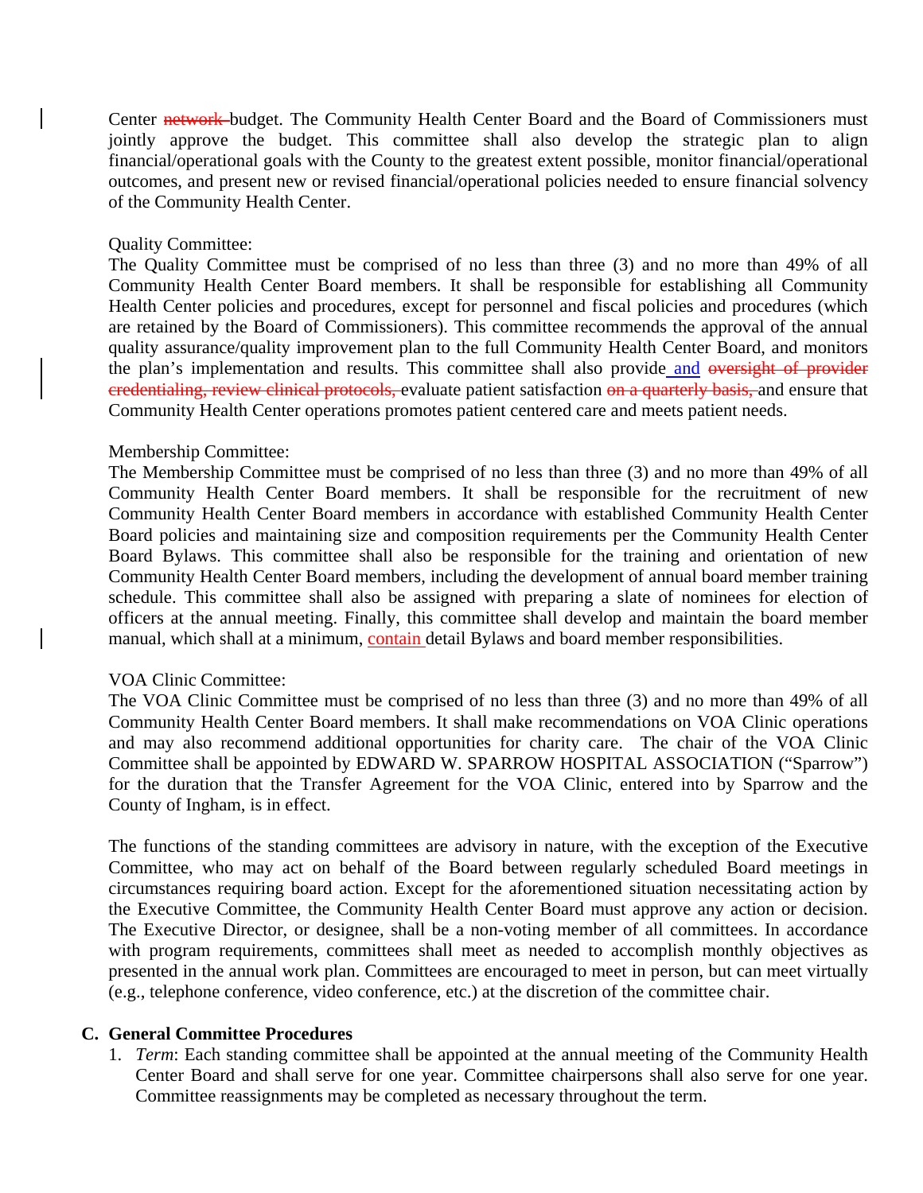Center **network**-budget. The Community Health Center Board and the Board of Commissioners must jointly approve the budget. This committee shall also develop the strategic plan to align financial/operational goals with the County to the greatest extent possible, monitor financial/operational outcomes, and present new or revised financial/operational policies needed to ensure financial solvency of the Community Health Center.

### Quality Committee:

The Quality Committee must be comprised of no less than three (3) and no more than 49% of all Community Health Center Board members. It shall be responsible for establishing all Community Health Center policies and procedures, except for personnel and fiscal policies and procedures (which are retained by the Board of Commissioners). This committee recommends the approval of the annual quality assurance/quality improvement plan to the full Community Health Center Board, and monitors the plan's implementation and results. This committee shall also provide and oversight of provider credentialing, review clinical protocols, evaluate patient satisfaction on a quarterly basis, and ensure that Community Health Center operations promotes patient centered care and meets patient needs.

### Membership Committee:

The Membership Committee must be comprised of no less than three (3) and no more than 49% of all Community Health Center Board members. It shall be responsible for the recruitment of new Community Health Center Board members in accordance with established Community Health Center Board policies and maintaining size and composition requirements per the Community Health Center Board Bylaws. This committee shall also be responsible for the training and orientation of new Community Health Center Board members, including the development of annual board member training schedule. This committee shall also be assigned with preparing a slate of nominees for election of officers at the annual meeting. Finally, this committee shall develop and maintain the board member manual, which shall at a minimum, contain detail Bylaws and board member responsibilities.

### VOA Clinic Committee:

The VOA Clinic Committee must be comprised of no less than three (3) and no more than 49% of all Community Health Center Board members. It shall make recommendations on VOA Clinic operations and may also recommend additional opportunities for charity care. The chair of the VOA Clinic Committee shall be appointed by EDWARD W. SPARROW HOSPITAL ASSOCIATION ("Sparrow") for the duration that the Transfer Agreement for the VOA Clinic, entered into by Sparrow and the County of Ingham, is in effect.

The functions of the standing committees are advisory in nature, with the exception of the Executive Committee, who may act on behalf of the Board between regularly scheduled Board meetings in circumstances requiring board action. Except for the aforementioned situation necessitating action by the Executive Committee, the Community Health Center Board must approve any action or decision. The Executive Director, or designee, shall be a non-voting member of all committees. In accordance with program requirements, committees shall meet as needed to accomplish monthly objectives as presented in the annual work plan. Committees are encouraged to meet in person, but can meet virtually (e.g., telephone conference, video conference, etc.) at the discretion of the committee chair.

### **C. General Committee Procedures**

1. *Term*: Each standing committee shall be appointed at the annual meeting of the Community Health Center Board and shall serve for one year. Committee chairpersons shall also serve for one year. Committee reassignments may be completed as necessary throughout the term.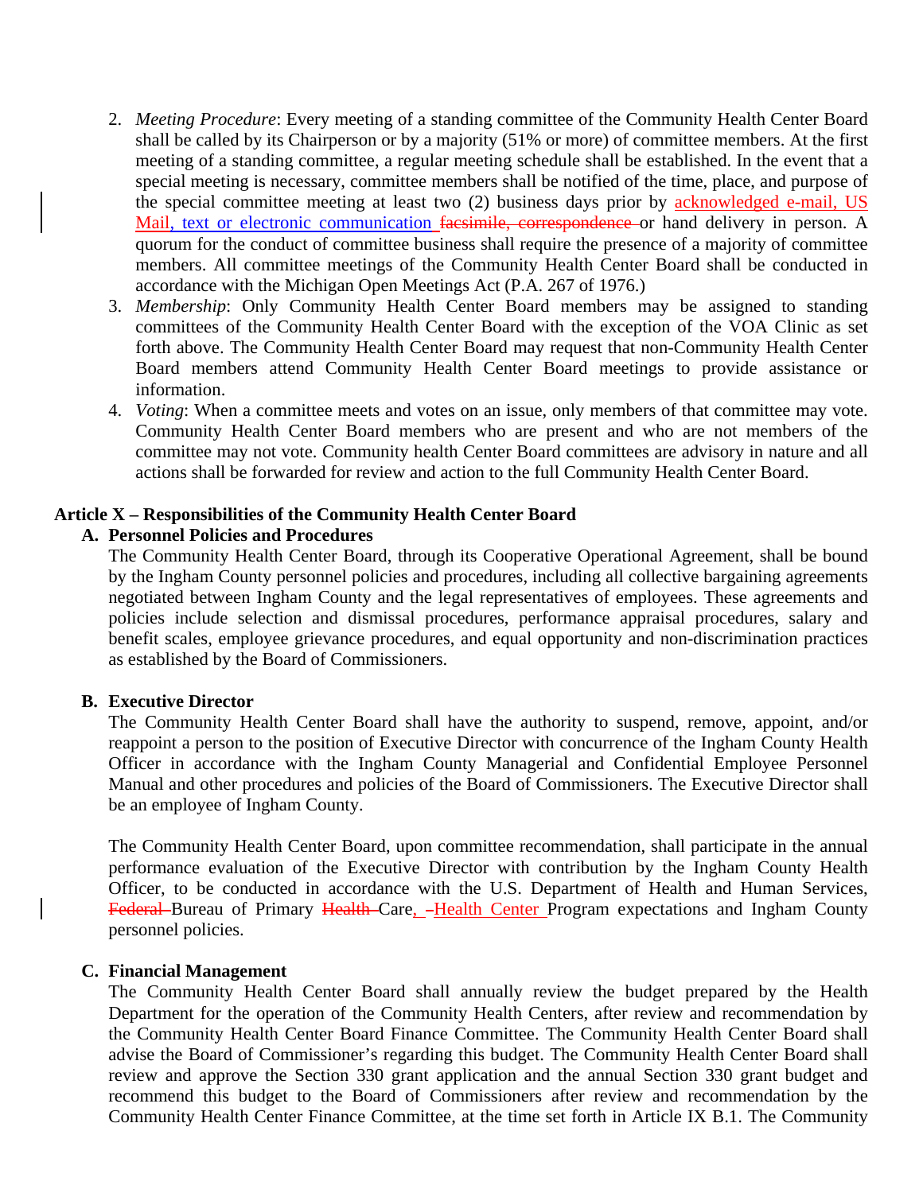- 2. *Meeting Procedure*: Every meeting of a standing committee of the Community Health Center Board shall be called by its Chairperson or by a majority (51% or more) of committee members. At the first meeting of a standing committee, a regular meeting schedule shall be established. In the event that a special meeting is necessary, committee members shall be notified of the time, place, and purpose of the special committee meeting at least two (2) business days prior by **acknowledged e-mail**, US Mail, text or electronic communication facsimile, correspondence or hand delivery in person. A quorum for the conduct of committee business shall require the presence of a majority of committee members. All committee meetings of the Community Health Center Board shall be conducted in accordance with the Michigan Open Meetings Act (P.A. 267 of 1976.)
- 3. *Membership*: Only Community Health Center Board members may be assigned to standing committees of the Community Health Center Board with the exception of the VOA Clinic as set forth above. The Community Health Center Board may request that non-Community Health Center Board members attend Community Health Center Board meetings to provide assistance or information.
- 4. *Voting*: When a committee meets and votes on an issue, only members of that committee may vote. Community Health Center Board members who are present and who are not members of the committee may not vote. Community health Center Board committees are advisory in nature and all actions shall be forwarded for review and action to the full Community Health Center Board.

### **Article X – Responsibilities of the Community Health Center Board**

### **A. Personnel Policies and Procedures**

The Community Health Center Board, through its Cooperative Operational Agreement, shall be bound by the Ingham County personnel policies and procedures, including all collective bargaining agreements negotiated between Ingham County and the legal representatives of employees. These agreements and policies include selection and dismissal procedures, performance appraisal procedures, salary and benefit scales, employee grievance procedures, and equal opportunity and non-discrimination practices as established by the Board of Commissioners.

### **B. Executive Director**

The Community Health Center Board shall have the authority to suspend, remove, appoint, and/or reappoint a person to the position of Executive Director with concurrence of the Ingham County Health Officer in accordance with the Ingham County Managerial and Confidential Employee Personnel Manual and other procedures and policies of the Board of Commissioners. The Executive Director shall be an employee of Ingham County.

The Community Health Center Board, upon committee recommendation, shall participate in the annual performance evaluation of the Executive Director with contribution by the Ingham County Health Officer, to be conducted in accordance with the U.S. Department of Health and Human Services, Federal Bureau of Primary Health Care, -Health Center Program expectations and Ingham County personnel policies.

### **C. Financial Management**

The Community Health Center Board shall annually review the budget prepared by the Health Department for the operation of the Community Health Centers, after review and recommendation by the Community Health Center Board Finance Committee. The Community Health Center Board shall advise the Board of Commissioner's regarding this budget. The Community Health Center Board shall review and approve the Section 330 grant application and the annual Section 330 grant budget and recommend this budget to the Board of Commissioners after review and recommendation by the Community Health Center Finance Committee, at the time set forth in Article IX B.1. The Community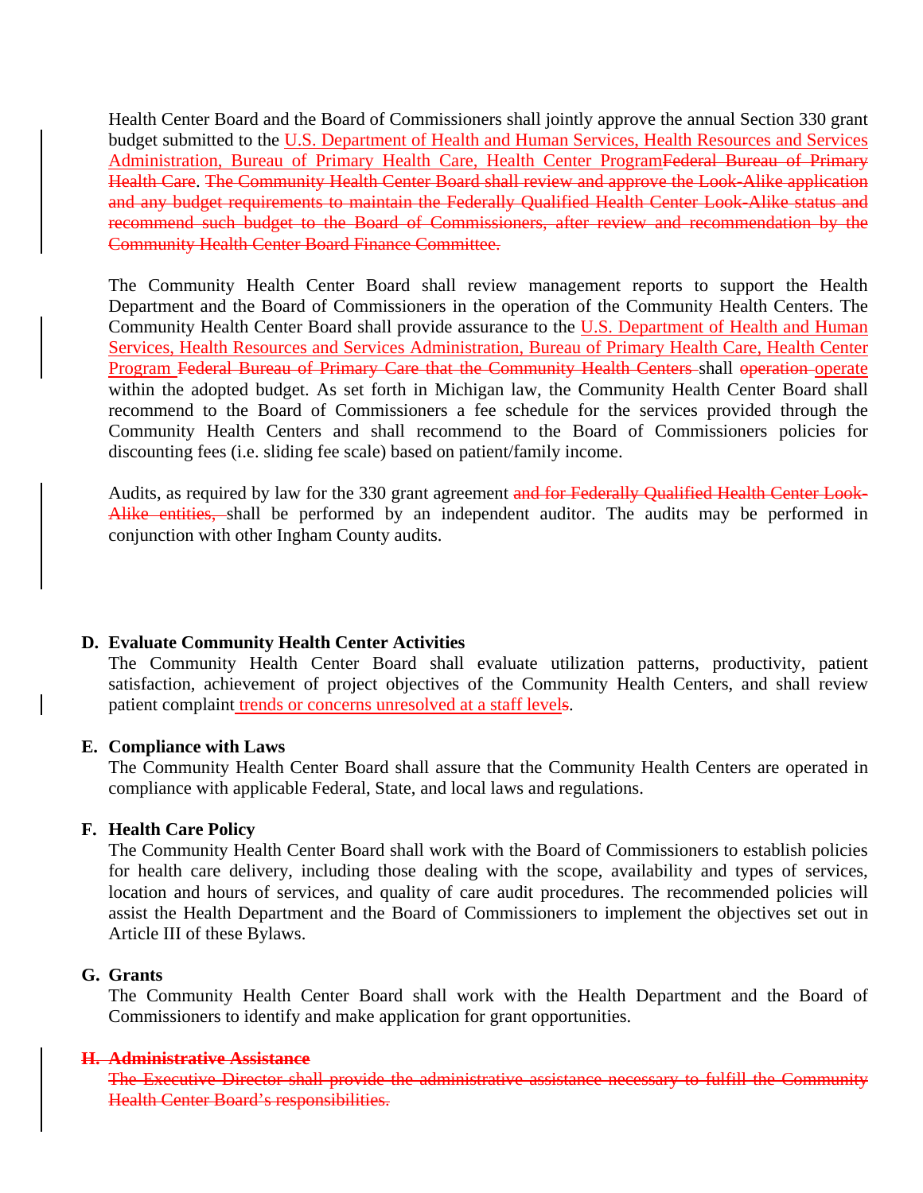Health Center Board and the Board of Commissioners shall jointly approve the annual Section 330 grant budget submitted to the U.S. Department of Health and Human Services, Health Resources and Services Administration, Bureau of Primary Health Care, Health Center ProgramFederal Bureau of Primary Health Care. The Community Health Center Board shall review and approve the Look-Alike application and any budget requirements to maintain the Federally Qualified Health Center Look-Alike status and recommend such budget to the Board of Commissioners, after review and recommendation by the Community Health Center Board Finance Committee.

The Community Health Center Board shall review management reports to support the Health Department and the Board of Commissioners in the operation of the Community Health Centers. The Community Health Center Board shall provide assurance to the U.S. Department of Health and Human Services, Health Resources and Services Administration, Bureau of Primary Health Care, Health Center Program Federal Bureau of Primary Care that the Community Health Centers shall operation operate within the adopted budget. As set forth in Michigan law, the Community Health Center Board shall recommend to the Board of Commissioners a fee schedule for the services provided through the Community Health Centers and shall recommend to the Board of Commissioners policies for discounting fees (i.e. sliding fee scale) based on patient/family income.

Audits, as required by law for the 330 grant agreement and for Federally Qualified Health Center Look-Alike entities, shall be performed by an independent auditor. The audits may be performed in conjunction with other Ingham County audits.

### **D. Evaluate Community Health Center Activities**

The Community Health Center Board shall evaluate utilization patterns, productivity, patient satisfaction, achievement of project objectives of the Community Health Centers, and shall review patient complaint **trends** or concerns unresolved at a staff levels.

### **E. Compliance with Laws**

The Community Health Center Board shall assure that the Community Health Centers are operated in compliance with applicable Federal, State, and local laws and regulations.

### **F. Health Care Policy**

The Community Health Center Board shall work with the Board of Commissioners to establish policies for health care delivery, including those dealing with the scope, availability and types of services, location and hours of services, and quality of care audit procedures. The recommended policies will assist the Health Department and the Board of Commissioners to implement the objectives set out in Article III of these Bylaws.

### **G. Grants**

The Community Health Center Board shall work with the Health Department and the Board of Commissioners to identify and make application for grant opportunities.

### **H. Administrative Assistance**

The Executive Director shall provide the administrative assistance necessary to fulfill the Community Health Center Board's responsibilities.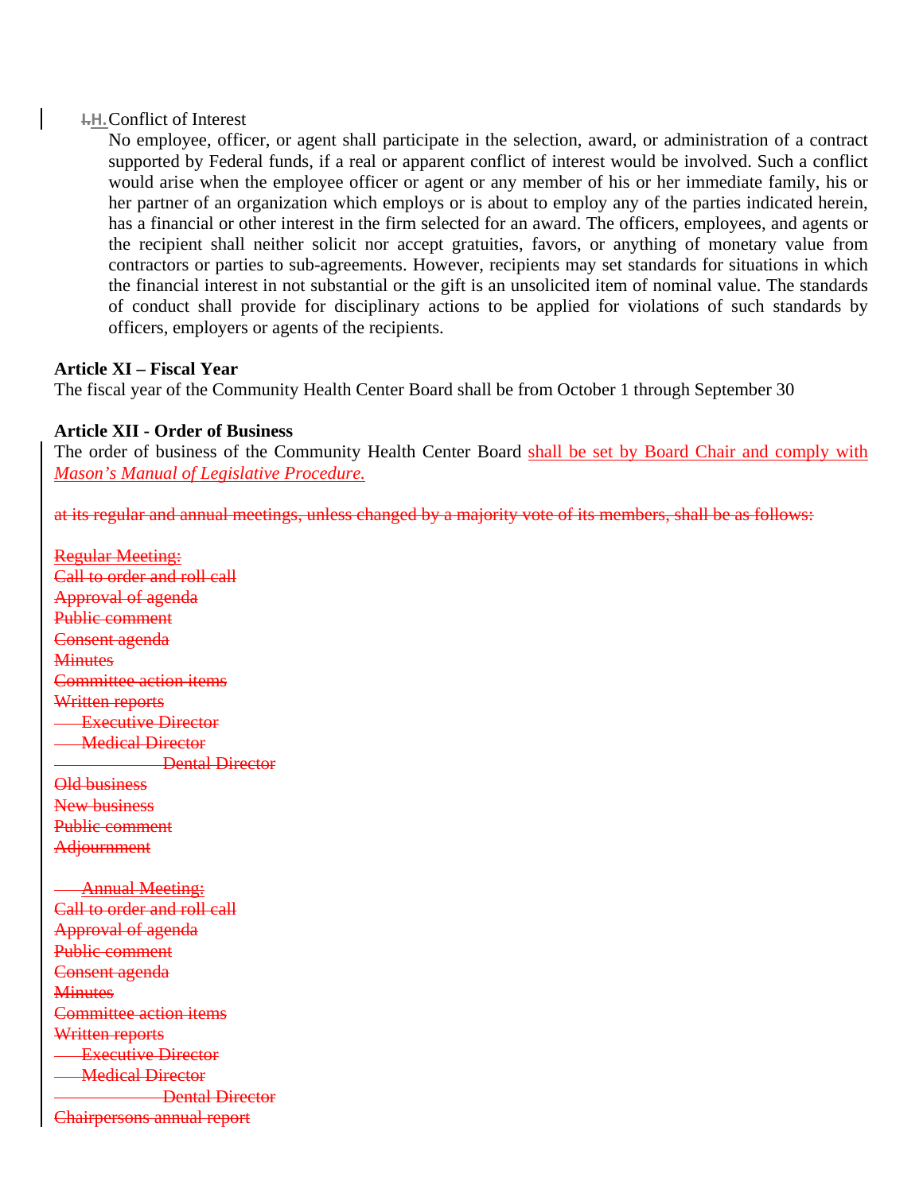### **I.H.**Conflict of Interest

No employee, officer, or agent shall participate in the selection, award, or administration of a contract supported by Federal funds, if a real or apparent conflict of interest would be involved. Such a conflict would arise when the employee officer or agent or any member of his or her immediate family, his or her partner of an organization which employs or is about to employ any of the parties indicated herein, has a financial or other interest in the firm selected for an award. The officers, employees, and agents or the recipient shall neither solicit nor accept gratuities, favors, or anything of monetary value from contractors or parties to sub-agreements. However, recipients may set standards for situations in which the financial interest in not substantial or the gift is an unsolicited item of nominal value. The standards of conduct shall provide for disciplinary actions to be applied for violations of such standards by officers, employers or agents of the recipients.

### **Article XI – Fiscal Year**

The fiscal year of the Community Health Center Board shall be from October 1 through September 30

# **Article XII - Order of Business**

The order of business of the Community Health Center Board shall be set by Board Chair and comply with *Mason's Manual of Legislative Procedure.*

at its regular and annual meetings, unless changed by a majority vote of its members, shall be as follows:

Regular Meeting: Call to order and roll call Approval of agenda Public comment Consent agenda **Minutes** Committee action items Written reports **Executive Director Medical Director Dental Director** Old business New business Public comment **Adjournment**  Annual Meeting: Call to order and roll call Approval of agenda Public comment Consent agenda **Minutes** Committee action items Written reports **Executive Director Medical Director Dental Director** Chairpersons annual report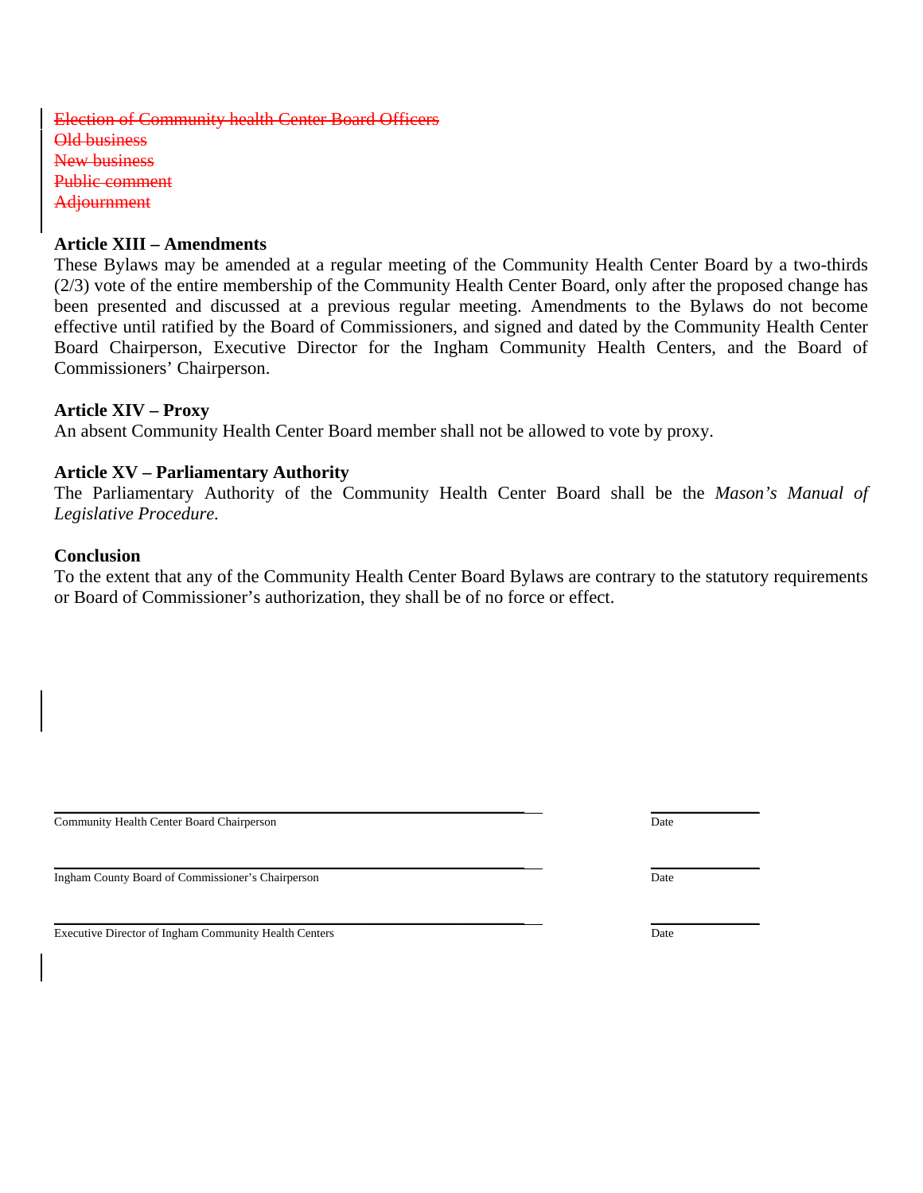Election of Community health Center Board Officers Old business New business Public comment **Adjournment** 

### **Article XIII – Amendments**

These Bylaws may be amended at a regular meeting of the Community Health Center Board by a two-thirds (2/3) vote of the entire membership of the Community Health Center Board, only after the proposed change has been presented and discussed at a previous regular meeting. Amendments to the Bylaws do not become effective until ratified by the Board of Commissioners, and signed and dated by the Community Health Center Board Chairperson, Executive Director for the Ingham Community Health Centers, and the Board of Commissioners' Chairperson.

### **Article XIV – Proxy**

An absent Community Health Center Board member shall not be allowed to vote by proxy.

### **Article XV – Parliamentary Authority**

The Parliamentary Authority of the Community Health Center Board shall be the *Mason's Manual of Legislative Procedure.* 

### **Conclusion**

To the extent that any of the Community Health Center Board Bylaws are contrary to the statutory requirements or Board of Commissioner's authorization, they shall be of no force or effect.

**Community Health Center Board Chairperson** Date

Ingham County Board of Commissioner's Chairperson Date

Executive Director of Ingham Community Health Centers Date

 $\_$  , and the state of the state of the state of the state of the state of the state of the state of the state of the state of the state of the state of the state of the state of the state of the state of the state of the

\_\_\_\_\_\_\_\_\_\_\_\_\_\_\_\_\_\_\_\_\_\_\_\_\_\_\_\_\_\_\_\_\_\_\_\_\_\_\_\_\_\_\_\_\_\_\_\_\_\_\_\_ \_\_\_\_\_\_\_\_\_\_\_\_

\_\_\_\_\_\_\_\_\_\_\_\_\_\_\_\_\_\_\_\_\_\_\_\_\_\_\_\_\_\_\_\_\_\_\_\_\_\_\_\_\_\_\_\_\_\_\_\_\_\_\_\_ \_\_\_\_\_\_\_\_\_\_\_\_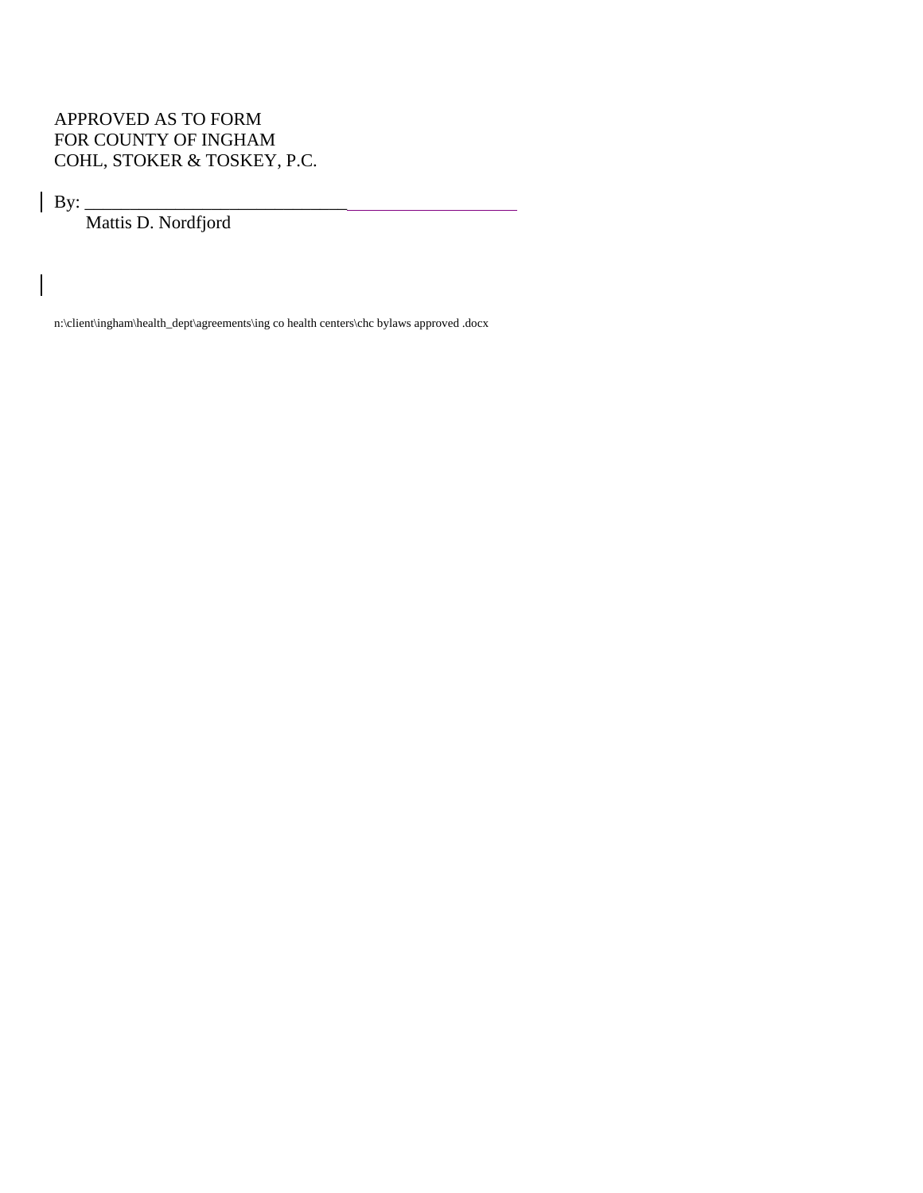# APPROVED AS TO FORM FOR COUNTY OF INGHAM COHL, STOKER & TOSKEY, P.C.

By: \_\_\_\_\_\_\_\_\_\_\_\_\_\_\_\_\_\_\_\_\_\_\_\_\_\_\_\_\_

Mattis D. Nordfjord

n:\client\ingham\health\_dept\agreements\ing co health centers\chc bylaws approved .docx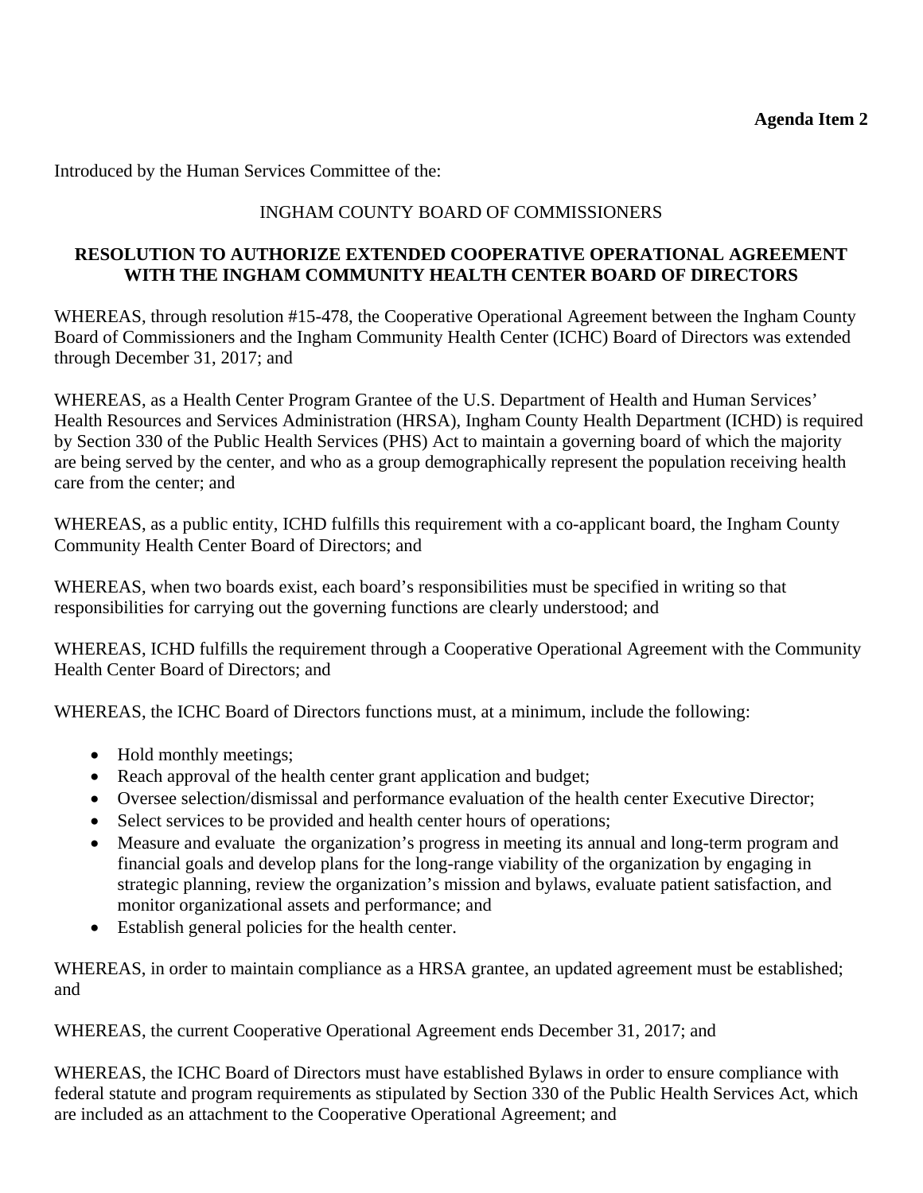Introduced by the Human Services Committee of the:

# INGHAM COUNTY BOARD OF COMMISSIONERS

# **RESOLUTION TO AUTHORIZE EXTENDED COOPERATIVE OPERATIONAL AGREEMENT WITH THE INGHAM COMMUNITY HEALTH CENTER BOARD OF DIRECTORS**

WHEREAS, through resolution #15-478, the Cooperative Operational Agreement between the Ingham County Board of Commissioners and the Ingham Community Health Center (ICHC) Board of Directors was extended through December 31, 2017; and

WHEREAS, as a Health Center Program Grantee of the U.S. Department of Health and Human Services' Health Resources and Services Administration (HRSA), Ingham County Health Department (ICHD) is required by Section 330 of the Public Health Services (PHS) Act to maintain a governing board of which the majority are being served by the center, and who as a group demographically represent the population receiving health care from the center; and

WHEREAS, as a public entity, ICHD fulfills this requirement with a co-applicant board, the Ingham County Community Health Center Board of Directors; and

WHEREAS, when two boards exist, each board's responsibilities must be specified in writing so that responsibilities for carrying out the governing functions are clearly understood; and

WHEREAS, ICHD fulfills the requirement through a Cooperative Operational Agreement with the Community Health Center Board of Directors; and

WHEREAS, the ICHC Board of Directors functions must, at a minimum, include the following:

- Hold monthly meetings;
- Reach approval of the health center grant application and budget;
- Oversee selection/dismissal and performance evaluation of the health center Executive Director;
- Select services to be provided and health center hours of operations;
- Measure and evaluate the organization's progress in meeting its annual and long-term program and financial goals and develop plans for the long-range viability of the organization by engaging in strategic planning, review the organization's mission and bylaws, evaluate patient satisfaction, and monitor organizational assets and performance; and
- Establish general policies for the health center.

WHEREAS, in order to maintain compliance as a HRSA grantee, an updated agreement must be established; and

WHEREAS, the current Cooperative Operational Agreement ends December 31, 2017; and

WHEREAS, the ICHC Board of Directors must have established Bylaws in order to ensure compliance with federal statute and program requirements as stipulated by Section 330 of the Public Health Services Act, which are included as an attachment to the Cooperative Operational Agreement; and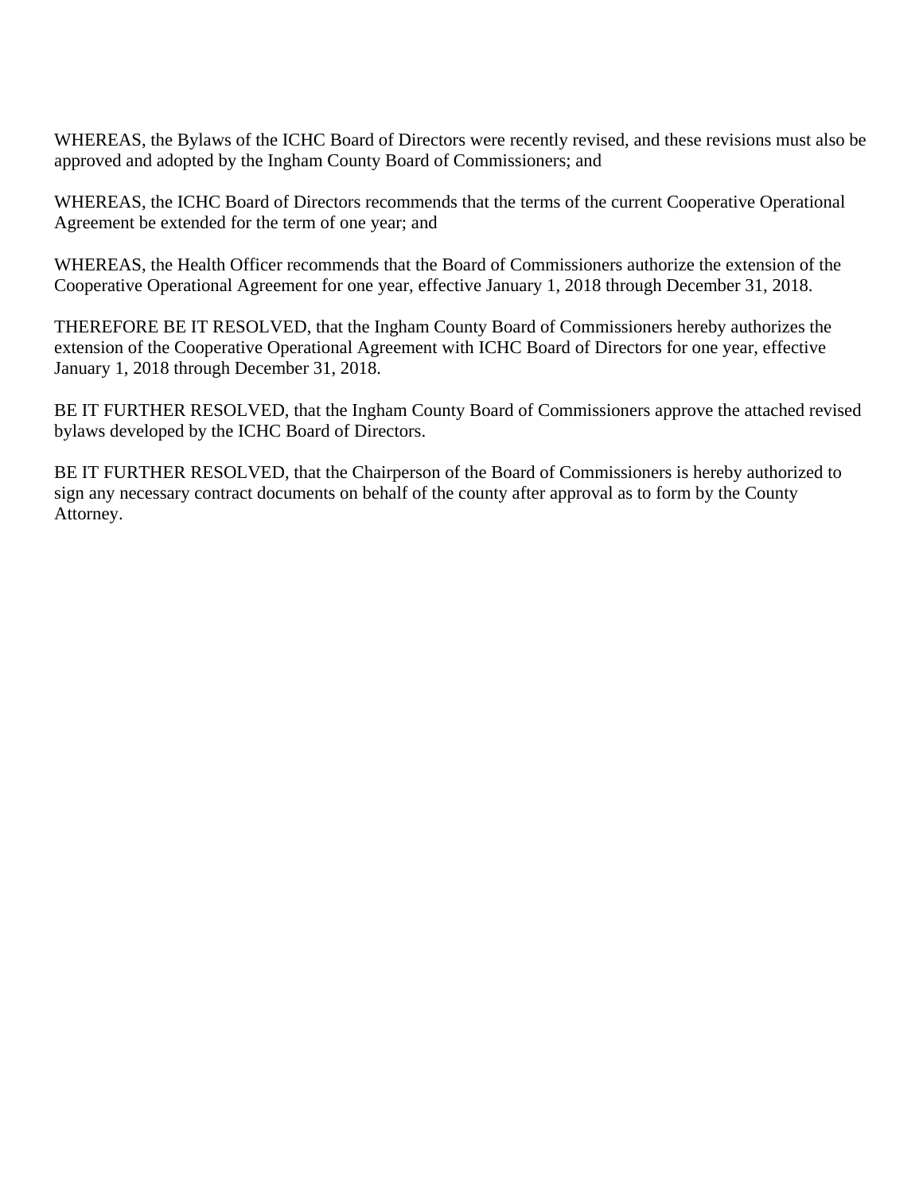WHEREAS, the Bylaws of the ICHC Board of Directors were recently revised, and these revisions must also be approved and adopted by the Ingham County Board of Commissioners; and

WHEREAS, the ICHC Board of Directors recommends that the terms of the current Cooperative Operational Agreement be extended for the term of one year; and

WHEREAS, the Health Officer recommends that the Board of Commissioners authorize the extension of the Cooperative Operational Agreement for one year, effective January 1, 2018 through December 31, 2018.

THEREFORE BE IT RESOLVED, that the Ingham County Board of Commissioners hereby authorizes the extension of the Cooperative Operational Agreement with ICHC Board of Directors for one year, effective January 1, 2018 through December 31, 2018.

BE IT FURTHER RESOLVED, that the Ingham County Board of Commissioners approve the attached revised bylaws developed by the ICHC Board of Directors.

BE IT FURTHER RESOLVED, that the Chairperson of the Board of Commissioners is hereby authorized to sign any necessary contract documents on behalf of the county after approval as to form by the County Attorney.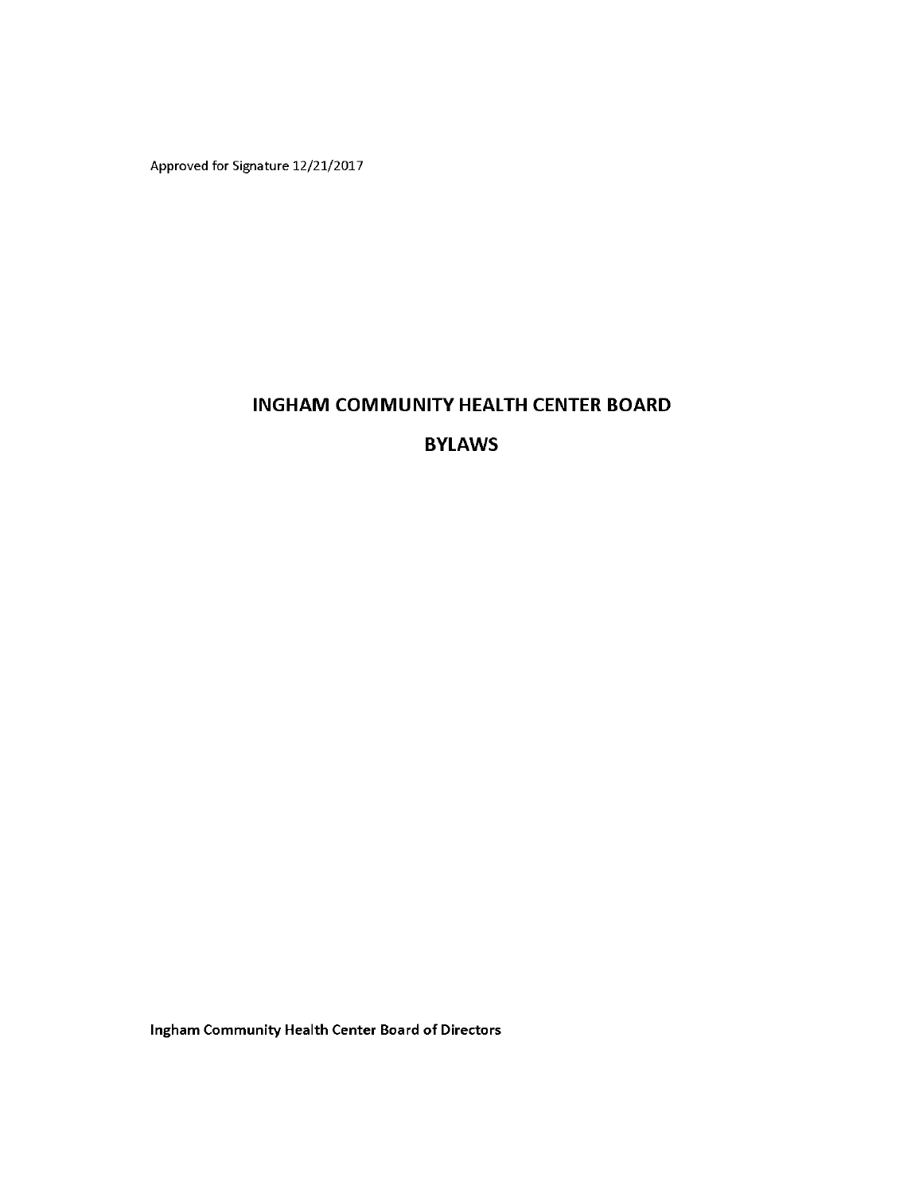Approved for Signature 12/21/2017

# **INGHAM COMMUNITY HEALTH CENTER BOARD**

# **BYLAWS**

Ingham Community Health Center Board of Directors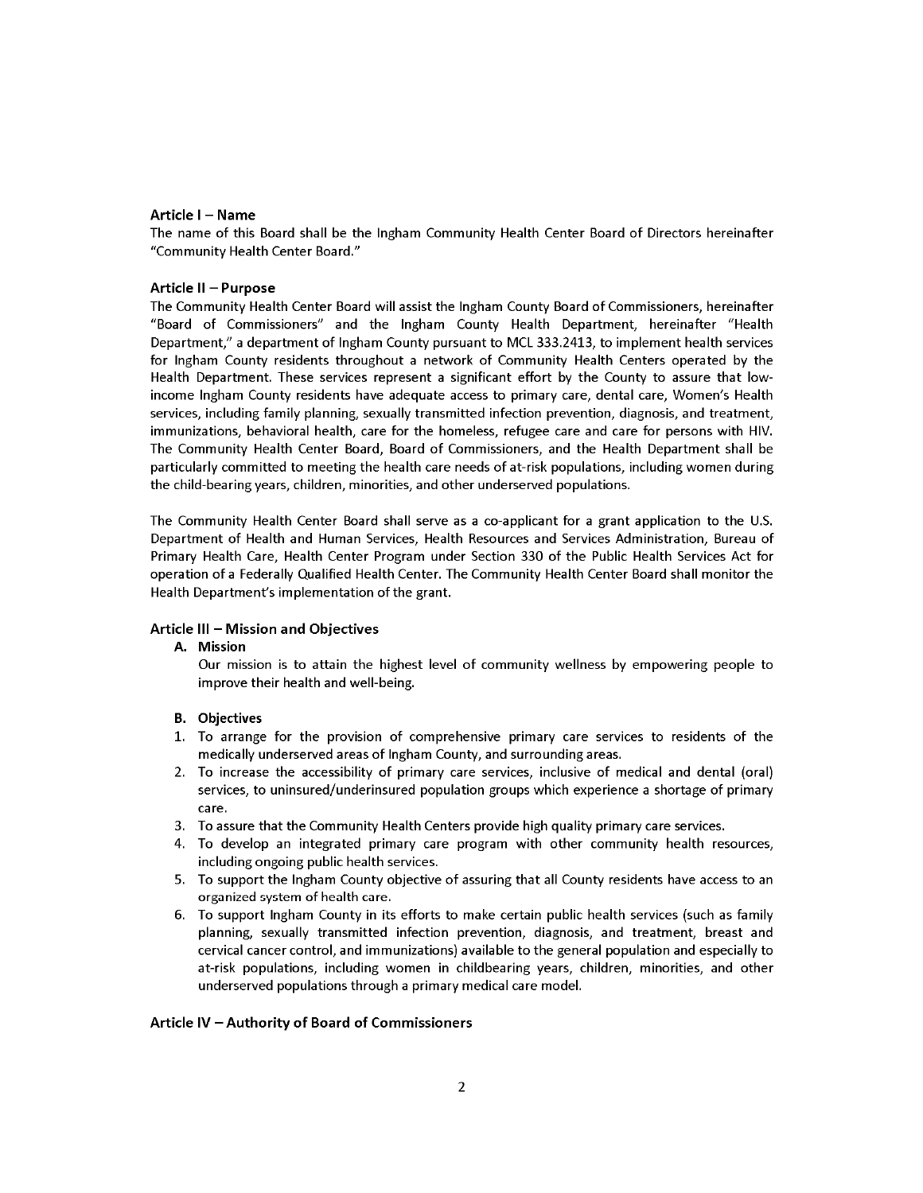#### Article I - Name

The name of this Board shall be the Ingham Community Health Center Board of Directors hereinafter "Community Health Center Board."

#### Article II - Purpose

The Community Health Center Board will assist the Ingham County Board of Commissioners, hereinafter "Board of Commissioners" and the Ingham County Health Department, hereinafter "Health Department," a department of Ingham County pursuant to MCL 333.2413, to implement health services for Ingham County residents throughout a network of Community Health Centers operated by the Health Department. These services represent a significant effort by the County to assure that lowincome Ingham County residents have adequate access to primary care, dental care, Women's Health services, including family planning, sexually transmitted infection prevention, diagnosis, and treatment, immunizations, behavioral health, care for the homeless, refugee care and care for persons with HIV. The Community Health Center Board, Board of Commissioners, and the Health Department shall be particularly committed to meeting the health care needs of at-risk populations, including women during the child-bearing years, children, minorities, and other underserved populations.

The Community Health Center Board shall serve as a co-applicant for a grant application to the U.S. Department of Health and Human Services, Health Resources and Services Administration, Bureau of Primary Health Care, Health Center Program under Section 330 of the Public Health Services Act for operation of a Federally Qualified Health Center. The Community Health Center Board shall monitor the Health Department's implementation of the grant.

#### Article III - Mission and Objectives

#### A. Mission

Our mission is to attain the highest level of community wellness by empowering people to improve their health and well-being.

#### **B.** Objectives

- 1. To arrange for the provision of comprehensive primary care services to residents of the medically underserved areas of Ingham County, and surrounding areas.
- 2. To increase the accessibility of primary care services, inclusive of medical and dental (oral) services, to uninsured/underinsured population groups which experience a shortage of primary care.
- 3. To assure that the Community Health Centers provide high quality primary care services.
- 4. To develop an integrated primary care program with other community health resources, including ongoing public health services.
- 5. To support the Ingham County objective of assuring that all County residents have access to an organized system of health care.
- 6. To support Ingham County in its efforts to make certain public health services (such as family planning, sexually transmitted infection prevention, diagnosis, and treatment, breast and cervical cancer control, and immunizations) available to the general population and especially to at-risk populations, including women in childbearing years, children, minorities, and other underserved populations through a primary medical care model.

#### Article IV - Authority of Board of Commissioners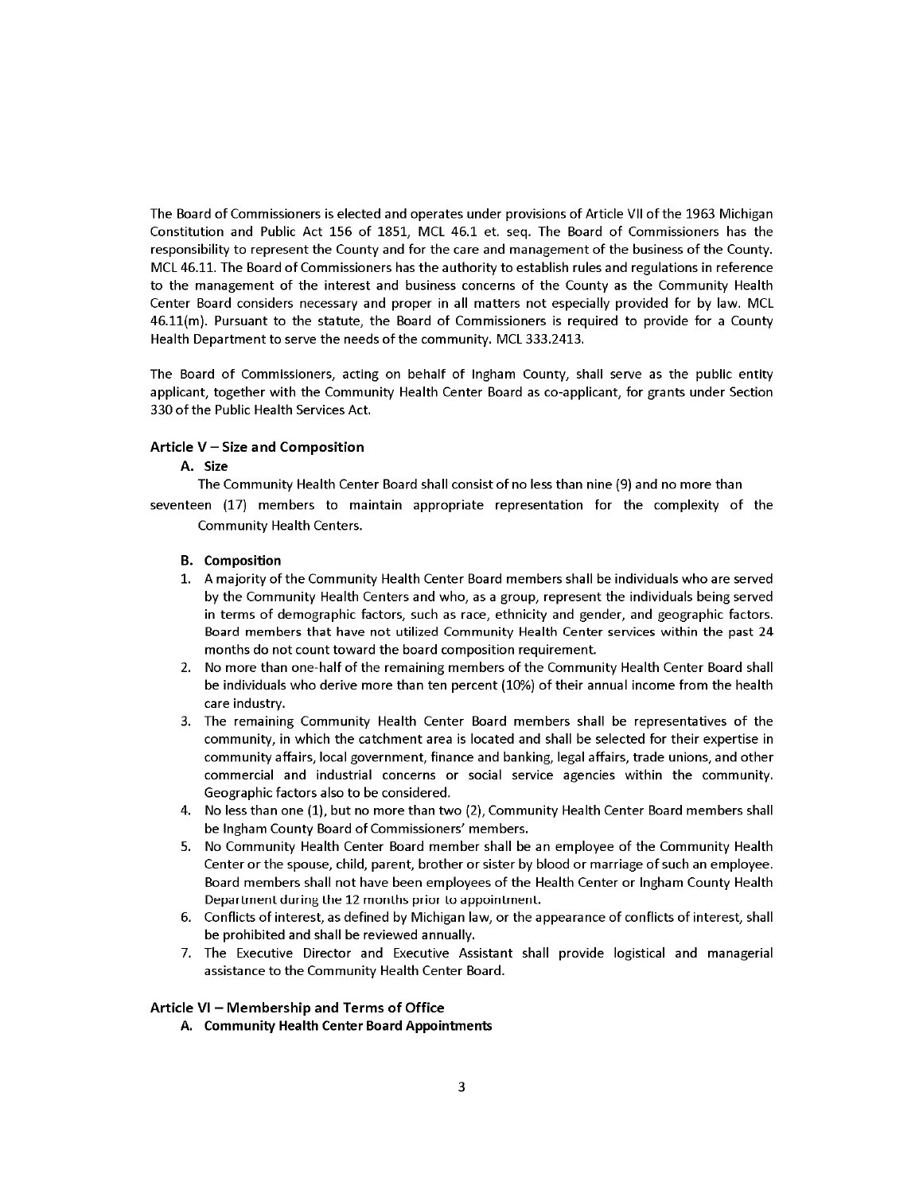The Board of Commissioners is elected and operates under provisions of Article VII of the 1963 Michigan Constitution and Public Act 156 of 1851, MCL 46.1 et. seq. The Board of Commissioners has the responsibility to represent the County and for the care and management of the business of the County. MCL 46.11. The Board of Commissioners has the authority to establish rules and regulations in reference to the management of the interest and business concerns of the County as the Community Health Center Board considers necessary and proper in all matters not especially provided for by law. MCL 46.11(m). Pursuant to the statute, the Board of Commissioners is required to provide for a County Health Department to serve the needs of the community. MCL 333.2413.

The Board of Commissioners, acting on behalf of Ingham County, shall serve as the public entity applicant, together with the Community Health Center Board as co-applicant, for grants under Section 330 of the Public Health Services Act.

#### Article V - Size and Composition

#### A. Size

The Community Health Center Board shall consist of no less than nine (9) and no more than

seventeen (17) members to maintain appropriate representation for the complexity of the Community Health Centers.

#### **B.** Composition

- 1. A majority of the Community Health Center Board members shall be individuals who are served by the Community Health Centers and who, as a group, represent the individuals being served in terms of demographic factors, such as race, ethnicity and gender, and geographic factors. Board members that have not utilized Community Health Center services within the past 24 months do not count toward the board composition requirement.
- 2. No more than one-half of the remaining members of the Community Health Center Board shall be individuals who derive more than ten percent (10%) of their annual income from the health care industry.
- 3. The remaining Community Health Center Board members shall be representatives of the community, in which the catchment area is located and shall be selected for their expertise in community affairs, local government, finance and banking, legal affairs, trade unions, and other commercial and industrial concerns or social service agencies within the community. Geographic factors also to be considered.
- No less than one (1), but no more than two (2), Community Health Center Board members shall 4. be Ingham County Board of Commissioners' members.
- 5. No Community Health Center Board member shall be an employee of the Community Health Center or the spouse, child, parent, brother or sister by blood or marriage of such an employee. Board members shall not have been employees of the Health Center or Ingham County Health Department during the 12 months prior to appointment.
- 6. Conflicts of interest, as defined by Michigan law, or the appearance of conflicts of interest, shall be prohibited and shall be reviewed annually.
- 7. The Executive Director and Executive Assistant shall provide logistical and managerial assistance to the Community Health Center Board.

#### Article VI - Membership and Terms of Office

A. Community Health Center Board Appointments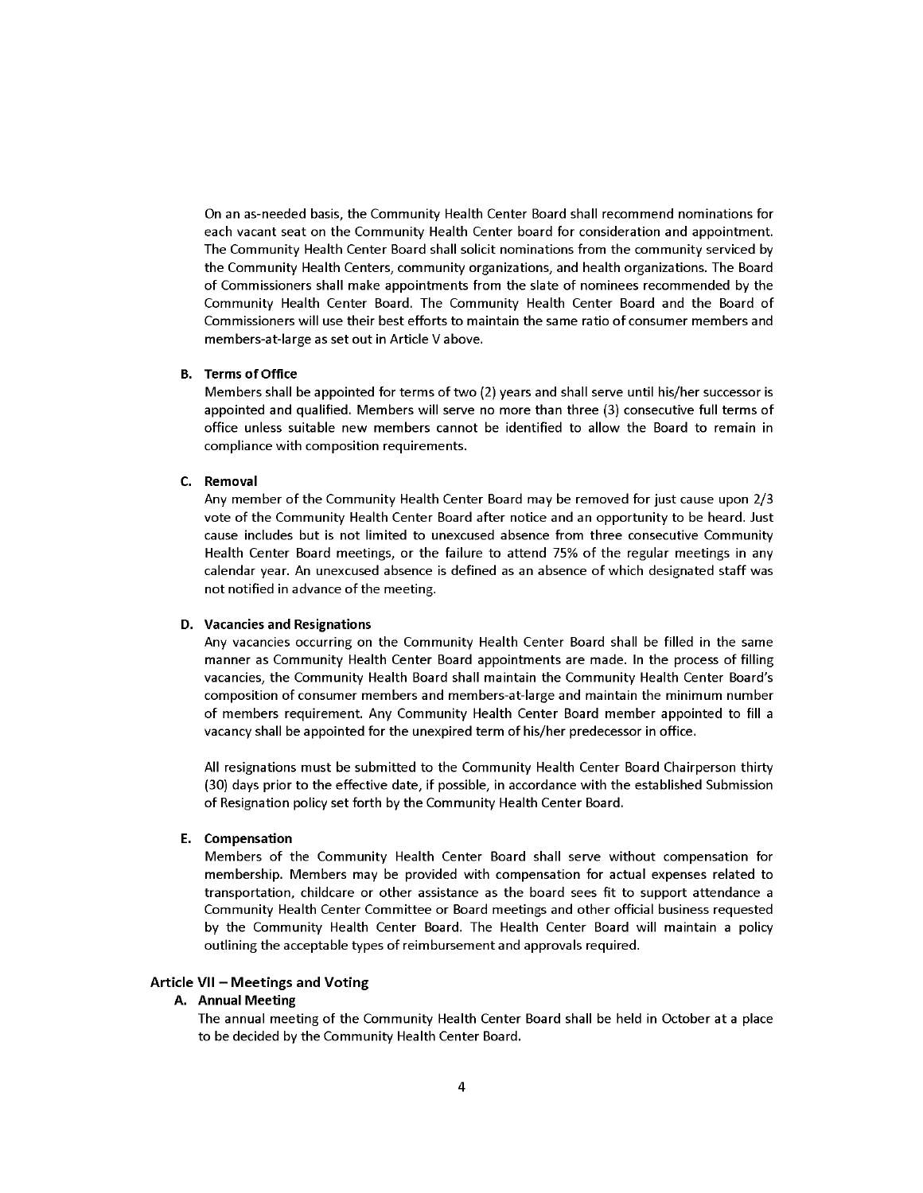On an as-needed basis, the Community Health Center Board shall recommend nominations for each vacant seat on the Community Health Center board for consideration and appointment. The Community Health Center Board shall solicit nominations from the community serviced by the Community Health Centers, community organizations, and health organizations. The Board of Commissioners shall make appointments from the slate of nominees recommended by the Community Health Center Board. The Community Health Center Board and the Board of Commissioners will use their best efforts to maintain the same ratio of consumer members and members-at-large as set out in Article V above.

#### **B.** Terms of Office

Members shall be appointed for terms of two (2) years and shall serve until his/her successor is appointed and qualified. Members will serve no more than three (3) consecutive full terms of office unless suitable new members cannot be identified to allow the Board to remain in compliance with composition requirements.

#### C. Removal

Any member of the Community Health Center Board may be removed for just cause upon 2/3 vote of the Community Health Center Board after notice and an opportunity to be heard. Just cause includes but is not limited to unexcused absence from three consecutive Community Health Center Board meetings, or the failure to attend 75% of the regular meetings in any calendar year. An unexcused absence is defined as an absence of which designated staff was not notified in advance of the meeting.

#### D. Vacancies and Resignations

Any vacancies occurring on the Community Health Center Board shall be filled in the same manner as Community Health Center Board appointments are made. In the process of filling vacancies, the Community Health Board shall maintain the Community Health Center Board's composition of consumer members and members-at-large and maintain the minimum number of members requirement. Any Community Health Center Board member appointed to fill a vacancy shall be appointed for the unexpired term of his/her predecessor in office.

All resignations must be submitted to the Community Health Center Board Chairperson thirty (30) days prior to the effective date, if possible, in accordance with the established Submission of Resignation policy set forth by the Community Health Center Board.

#### E. Compensation

Members of the Community Health Center Board shall serve without compensation for membership. Members may be provided with compensation for actual expenses related to transportation, childcare or other assistance as the board sees fit to support attendance a Community Health Center Committee or Board meetings and other official business requested by the Community Health Center Board. The Health Center Board will maintain a policy outlining the acceptable types of reimbursement and approvals required.

#### Article VII - Meetings and Voting

#### A. Annual Meeting

The annual meeting of the Community Health Center Board shall be held in October at a place to be decided by the Community Health Center Board.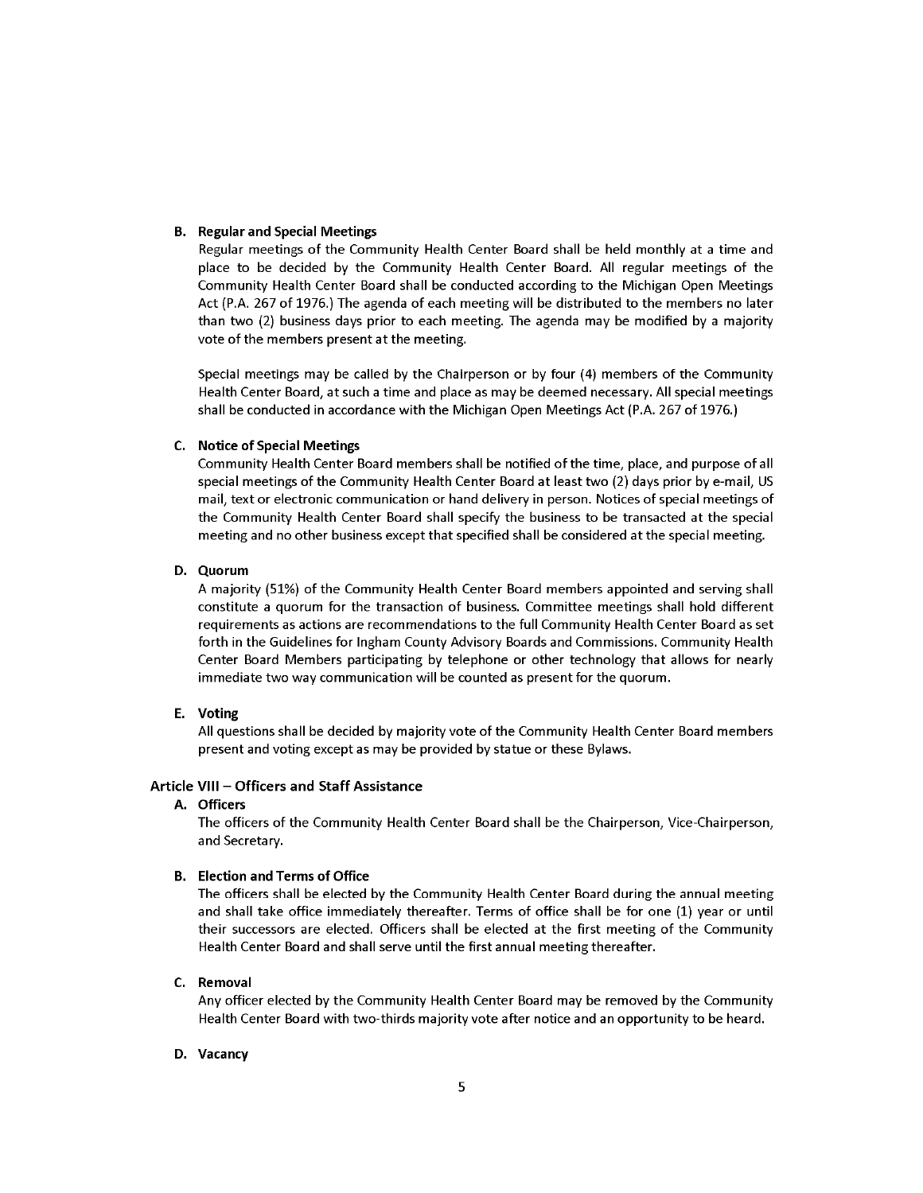#### **B.** Regular and Special Meetings

Regular meetings of the Community Health Center Board shall be held monthly at a time and place to be decided by the Community Health Center Board. All regular meetings of the Community Health Center Board shall be conducted according to the Michigan Open Meetings Act (P.A. 267 of 1976.) The agenda of each meeting will be distributed to the members no later than two (2) business days prior to each meeting. The agenda may be modified by a majority vote of the members present at the meeting.

Special meetings may be called by the Chairperson or by four (4) members of the Community Health Center Board, at such a time and place as may be deemed necessary. All special meetings shall be conducted in accordance with the Michigan Open Meetings Act (P.A. 267 of 1976.)

#### C. Notice of Special Meetings

Community Health Center Board members shall be notified of the time, place, and purpose of all special meetings of the Community Health Center Board at least two (2) days prior by e-mail, US mail, text or electronic communication or hand delivery in person. Notices of special meetings of the Community Health Center Board shall specify the business to be transacted at the special meeting and no other business except that specified shall be considered at the special meeting.

#### D. Quorum

A majority (51%) of the Community Health Center Board members appointed and serving shall constitute a quorum for the transaction of business. Committee meetings shall hold different requirements as actions are recommendations to the full Community Health Center Board as set forth in the Guidelines for Ingham County Advisory Boards and Commissions. Community Health Center Board Members participating by telephone or other technology that allows for nearly immediate two way communication will be counted as present for the quorum.

#### E. Voting

All questions shall be decided by majority vote of the Community Health Center Board members present and voting except as may be provided by statue or these Bylaws.

#### Article VIII - Officers and Staff Assistance

### A. Officers

The officers of the Community Health Center Board shall be the Chairperson, Vice-Chairperson, and Secretary.

#### **B.** Election and Terms of Office

The officers shall be elected by the Community Health Center Board during the annual meeting and shall take office immediately thereafter. Terms of office shall be for one (1) year or until their successors are elected. Officers shall be elected at the first meeting of the Community Health Center Board and shall serve until the first annual meeting thereafter.

#### C. Removal

Any officer elected by the Community Health Center Board may be removed by the Community Health Center Board with two-thirds majority vote after notice and an opportunity to be heard.

#### D. Vacancy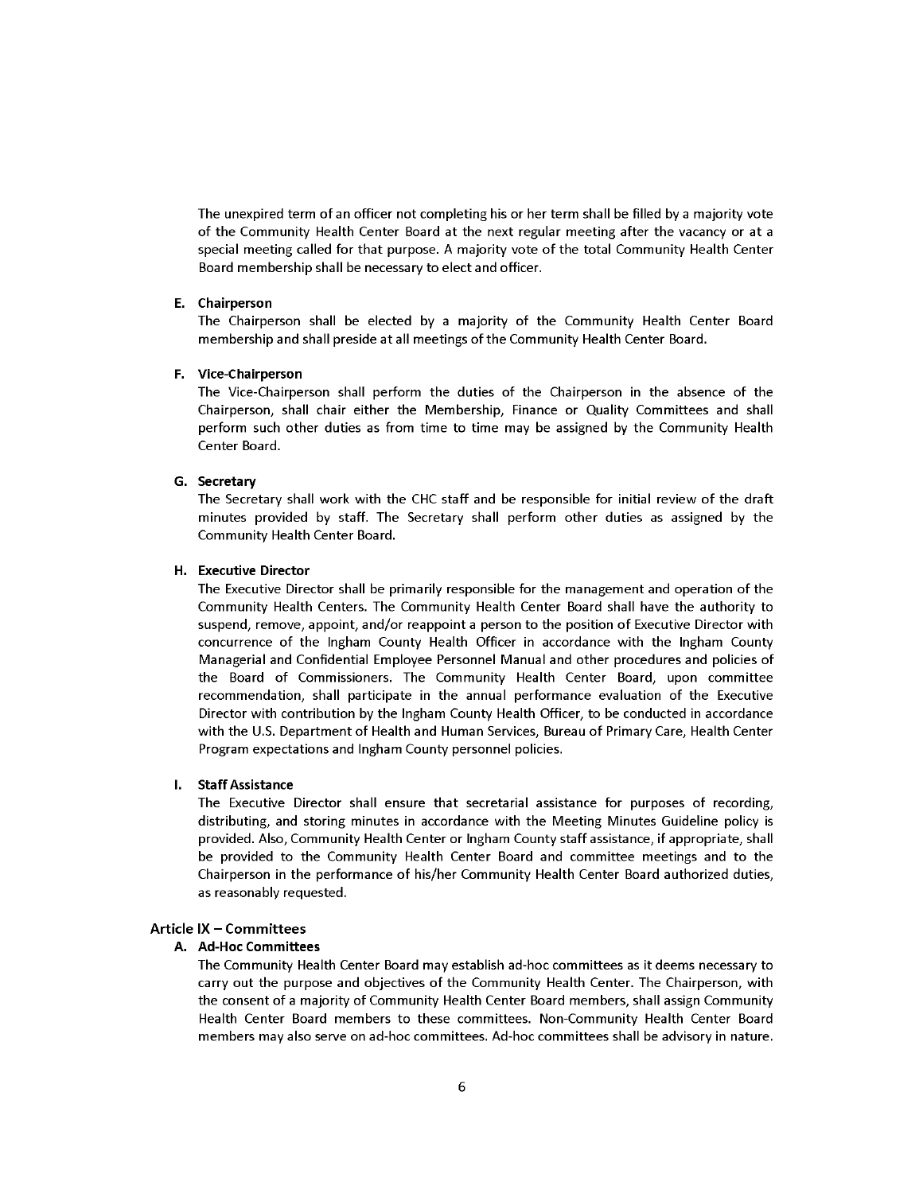The unexpired term of an officer not completing his or her term shall be filled by a majority vote of the Community Health Center Board at the next regular meeting after the vacancy or at a special meeting called for that purpose. A majority vote of the total Community Health Center Board membership shall be necessary to elect and officer.

#### E. Chairperson

The Chairperson shall be elected by a majority of the Community Health Center Board membership and shall preside at all meetings of the Community Health Center Board.

#### F. Vice-Chairperson

The Vice-Chairperson shall perform the duties of the Chairperson in the absence of the Chairperson, shall chair either the Membership, Finance or Quality Committees and shall perform such other duties as from time to time may be assigned by the Community Health Center Board.

#### G. Secretary

The Secretary shall work with the CHC staff and be responsible for initial review of the draft minutes provided by staff. The Secretary shall perform other duties as assigned by the Community Health Center Board.

#### H. Executive Director

The Executive Director shall be primarily responsible for the management and operation of the Community Health Centers. The Community Health Center Board shall have the authority to suspend, remove, appoint, and/or reappoint a person to the position of Executive Director with concurrence of the Ingham County Health Officer in accordance with the Ingham County Managerial and Confidential Employee Personnel Manual and other procedures and policies of the Board of Commissioners. The Community Health Center Board, upon committee recommendation, shall participate in the annual performance evaluation of the Executive Director with contribution by the Ingham County Health Officer, to be conducted in accordance with the U.S. Department of Health and Human Services, Bureau of Primary Care, Health Center Program expectations and Ingham County personnel policies.

#### $\mathbf{L}$ **Staff Assistance**

The Executive Director shall ensure that secretarial assistance for purposes of recording, distributing, and storing minutes in accordance with the Meeting Minutes Guideline policy is provided. Also, Community Health Center or Ingham County staff assistance, if appropriate, shall be provided to the Community Health Center Board and committee meetings and to the Chairperson in the performance of his/her Community Health Center Board authorized duties, as reasonably requested.

#### Article IX - Committees

#### A. Ad-Hoc Committees

The Community Health Center Board may establish ad-hoc committees as it deems necessary to carry out the purpose and objectives of the Community Health Center. The Chairperson, with the consent of a majority of Community Health Center Board members, shall assign Community Health Center Board members to these committees. Non-Community Health Center Board members may also serve on ad-hoc committees. Ad-hoc committees shall be advisory in nature.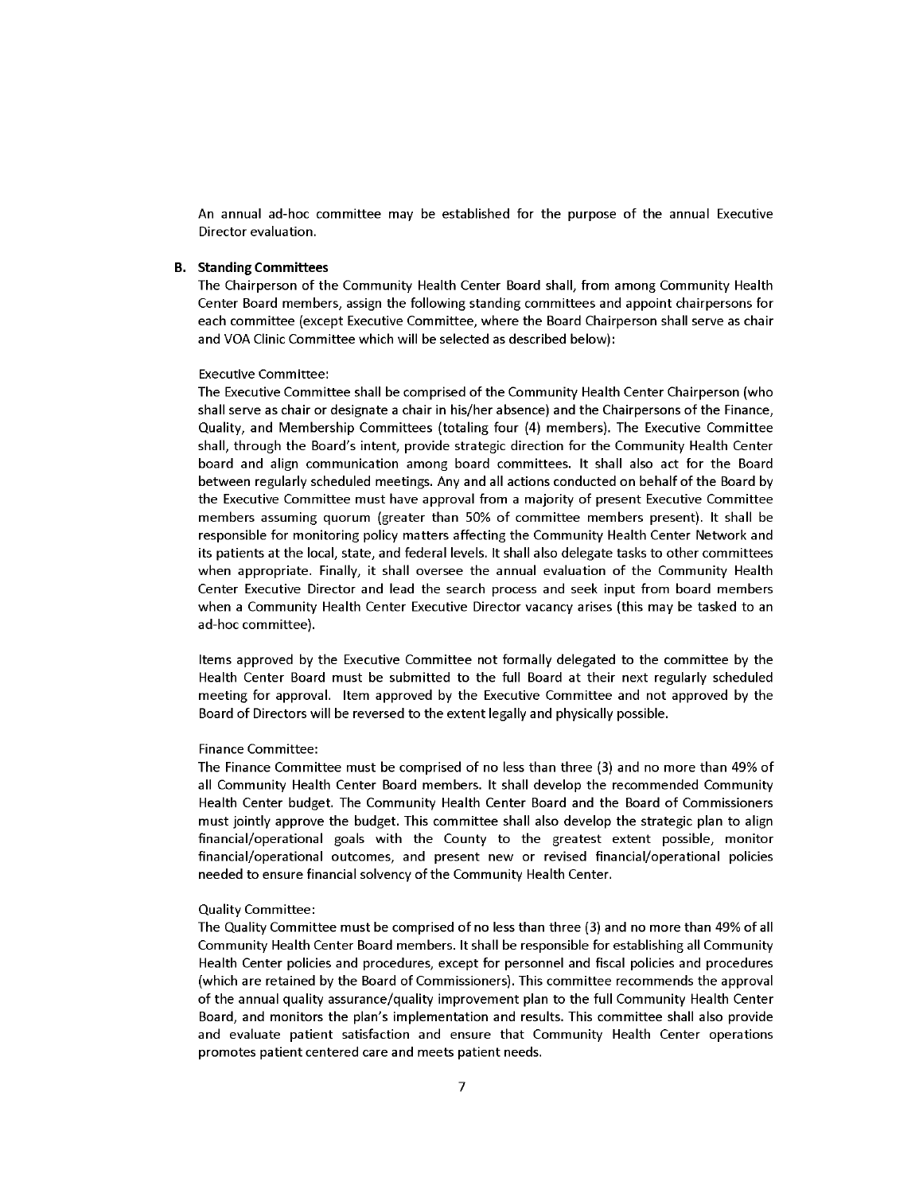An annual ad-hoc committee may be established for the purpose of the annual Executive Director evaluation.

#### **B.** Standing Committees

The Chairperson of the Community Health Center Board shall, from among Community Health Center Board members, assign the following standing committees and appoint chairpersons for each committee (except Executive Committee, where the Board Chairperson shall serve as chair and VOA Clinic Committee which will be selected as described below):

#### **Executive Committee:**

The Executive Committee shall be comprised of the Community Health Center Chairperson (who shall serve as chair or designate a chair in his/her absence) and the Chairpersons of the Finance, Quality, and Membership Committees (totaling four (4) members). The Executive Committee shall, through the Board's intent, provide strategic direction for the Community Health Center board and align communication among board committees. It shall also act for the Board between regularly scheduled meetings. Any and all actions conducted on behalf of the Board by the Executive Committee must have approval from a majority of present Executive Committee members assuming quorum (greater than 50% of committee members present). It shall be responsible for monitoring policy matters affecting the Community Health Center Network and its patients at the local, state, and federal levels. It shall also delegate tasks to other committees when appropriate. Finally, it shall oversee the annual evaluation of the Community Health Center Executive Director and lead the search process and seek input from board members when a Community Health Center Executive Director vacancy arises (this may be tasked to an ad-hoc committee).

Items approved by the Executive Committee not formally delegated to the committee by the Health Center Board must be submitted to the full Board at their next regularly scheduled meeting for approval. Item approved by the Executive Committee and not approved by the Board of Directors will be reversed to the extent legally and physically possible.

#### **Finance Committee:**

The Finance Committee must be comprised of no less than three (3) and no more than 49% of all Community Health Center Board members. It shall develop the recommended Community Health Center budget. The Community Health Center Board and the Board of Commissioners must jointly approve the budget. This committee shall also develop the strategic plan to align financial/operational goals with the County to the greatest extent possible, monitor financial/operational outcomes, and present new or revised financial/operational policies needed to ensure financial solvency of the Community Health Center.

#### **Quality Committee:**

The Quality Committee must be comprised of no less than three (3) and no more than 49% of all Community Health Center Board members. It shall be responsible for establishing all Community Health Center policies and procedures, except for personnel and fiscal policies and procedures (which are retained by the Board of Commissioners). This committee recommends the approval of the annual quality assurance/quality improvement plan to the full Community Health Center Board, and monitors the plan's implementation and results. This committee shall also provide and evaluate patient satisfaction and ensure that Community Health Center operations promotes patient centered care and meets patient needs.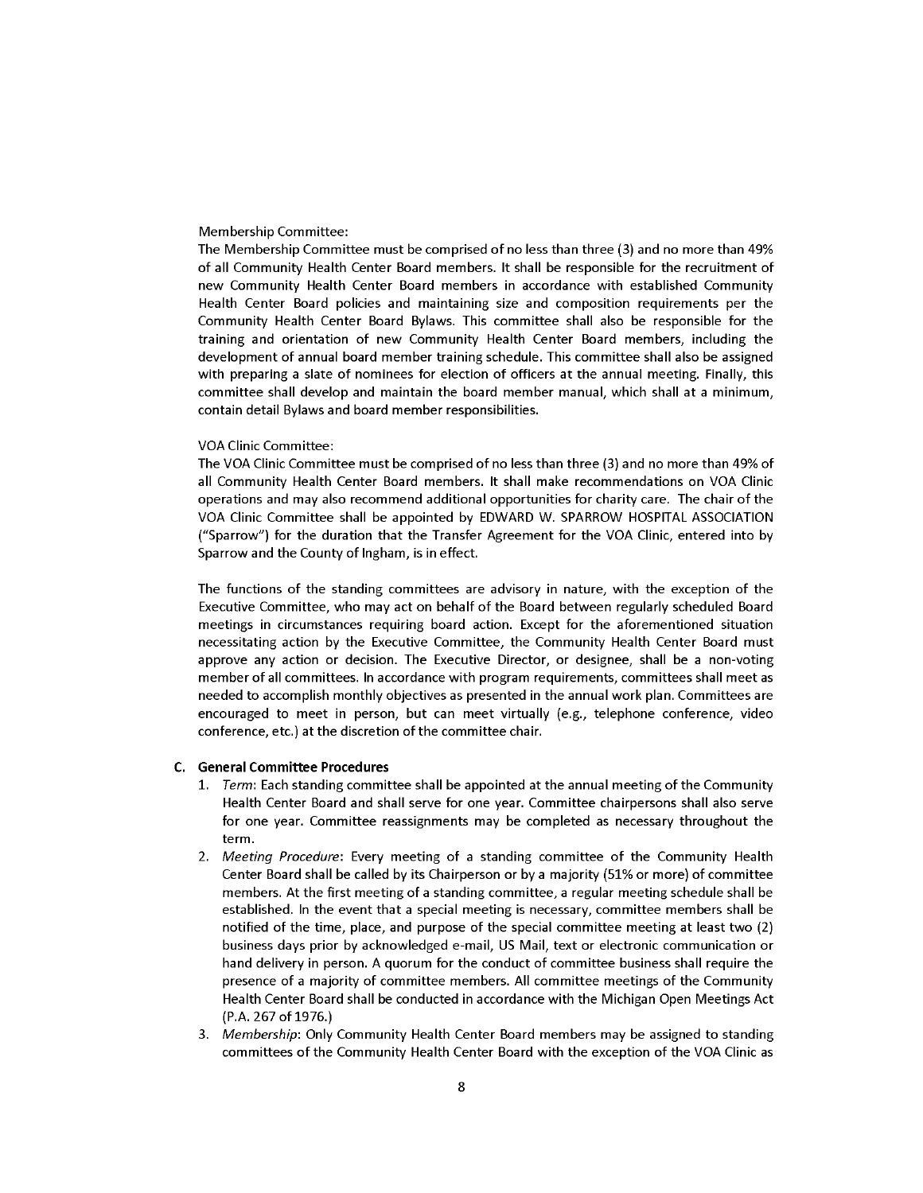#### Membership Committee:

The Membership Committee must be comprised of no less than three (3) and no more than 49% of all Community Health Center Board members. It shall be responsible for the recruitment of new Community Health Center Board members in accordance with established Community Health Center Board policies and maintaining size and composition requirements per the Community Health Center Board Bylaws. This committee shall also be responsible for the training and orientation of new Community Health Center Board members, including the development of annual board member training schedule. This committee shall also be assigned with preparing a slate of nominees for election of officers at the annual meeting. Finally, this committee shall develop and maintain the board member manual, which shall at a minimum, contain detail Bylaws and board member responsibilities.

#### **VOA Clinic Committee:**

The VOA Clinic Committee must be comprised of no less than three (3) and no more than 49% of all Community Health Center Board members. It shall make recommendations on VOA Clinic operations and may also recommend additional opportunities for charity care. The chair of the VOA Clinic Committee shall be appointed by EDWARD W. SPARROW HOSPITAL ASSOCIATION ("Sparrow") for the duration that the Transfer Agreement for the VOA Clinic, entered into by Sparrow and the County of Ingham, is in effect.

The functions of the standing committees are advisory in nature, with the exception of the Executive Committee, who may act on behalf of the Board between regularly scheduled Board meetings in circumstances requiring board action. Except for the aforementioned situation necessitating action by the Executive Committee, the Community Health Center Board must approve any action or decision. The Executive Director, or designee, shall be a non-voting member of all committees. In accordance with program requirements, committees shall meet as needed to accomplish monthly objectives as presented in the annual work plan. Committees are encouraged to meet in person, but can meet virtually (e.g., telephone conference, video conference, etc.) at the discretion of the committee chair.

#### C. General Committee Procedures

- 1. Term: Each standing committee shall be appointed at the annual meeting of the Community Health Center Board and shall serve for one year. Committee chairpersons shall also serve for one year. Committee reassignments may be completed as necessary throughout the term.
- 2. Meeting Procedure: Every meeting of a standing committee of the Community Health Center Board shall be called by its Chairperson or by a majority (51% or more) of committee members. At the first meeting of a standing committee, a regular meeting schedule shall be established. In the event that a special meeting is necessary, committee members shall be notified of the time, place, and purpose of the special committee meeting at least two (2) business days prior by acknowledged e-mail, US Mail, text or electronic communication or hand delivery in person. A quorum for the conduct of committee business shall require the presence of a majority of committee members. All committee meetings of the Community Health Center Board shall be conducted in accordance with the Michigan Open Meetings Act (P.A. 267 of 1976.)
- 3. Membership: Only Community Health Center Board members may be assigned to standing committees of the Community Health Center Board with the exception of the VOA Clinic as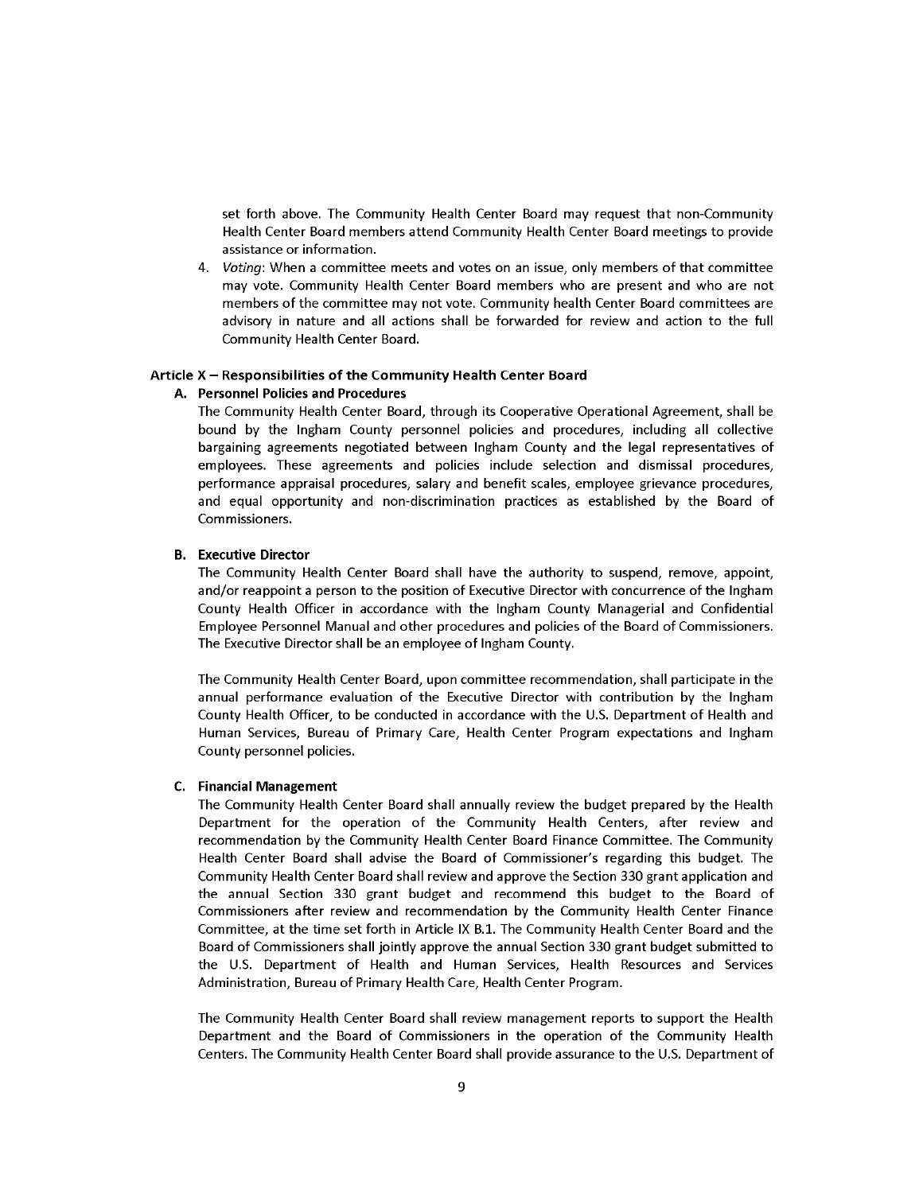set forth above. The Community Health Center Board may request that non-Community Health Center Board members attend Community Health Center Board meetings to provide assistance or information.

4. Voting: When a committee meets and votes on an issue, only members of that committee may vote. Community Health Center Board members who are present and who are not members of the committee may not vote. Community health Center Board committees are advisory in nature and all actions shall be forwarded for review and action to the full Community Health Center Board.

#### Article X - Responsibilities of the Community Health Center Board

#### A. Personnel Policies and Procedures

The Community Health Center Board, through its Cooperative Operational Agreement, shall be bound by the Ingham County personnel policies and procedures, including all collective bargaining agreements negotiated between Ingham County and the legal representatives of employees. These agreements and policies include selection and dismissal procedures, performance appraisal procedures, salary and benefit scales, employee grievance procedures, and equal opportunity and non-discrimination practices as established by the Board of Commissioners.

#### **B.** Executive Director

The Community Health Center Board shall have the authority to suspend, remove, appoint, and/or reappoint a person to the position of Executive Director with concurrence of the Ingham County Health Officer in accordance with the Ingham County Managerial and Confidential Employee Personnel Manual and other procedures and policies of the Board of Commissioners. The Executive Director shall be an employee of Ingham County.

The Community Health Center Board, upon committee recommendation, shall participate in the annual performance evaluation of the Executive Director with contribution by the Ingham County Health Officer, to be conducted in accordance with the U.S. Department of Health and Human Services, Bureau of Primary Care, Health Center Program expectations and Ingham County personnel policies.

#### **C.** Financial Management

The Community Health Center Board shall annually review the budget prepared by the Health Department for the operation of the Community Health Centers, after review and recommendation by the Community Health Center Board Finance Committee. The Community Health Center Board shall advise the Board of Commissioner's regarding this budget. The Community Health Center Board shall review and approve the Section 330 grant application and the annual Section 330 grant budget and recommend this budget to the Board of Commissioners after review and recommendation by the Community Health Center Finance Committee, at the time set forth in Article IX B.1. The Community Health Center Board and the Board of Commissioners shall jointly approve the annual Section 330 grant budget submitted to the U.S. Department of Health and Human Services, Health Resources and Services Administration, Bureau of Primary Health Care, Health Center Program.

The Community Health Center Board shall review management reports to support the Health Department and the Board of Commissioners in the operation of the Community Health Centers. The Community Health Center Board shall provide assurance to the U.S. Department of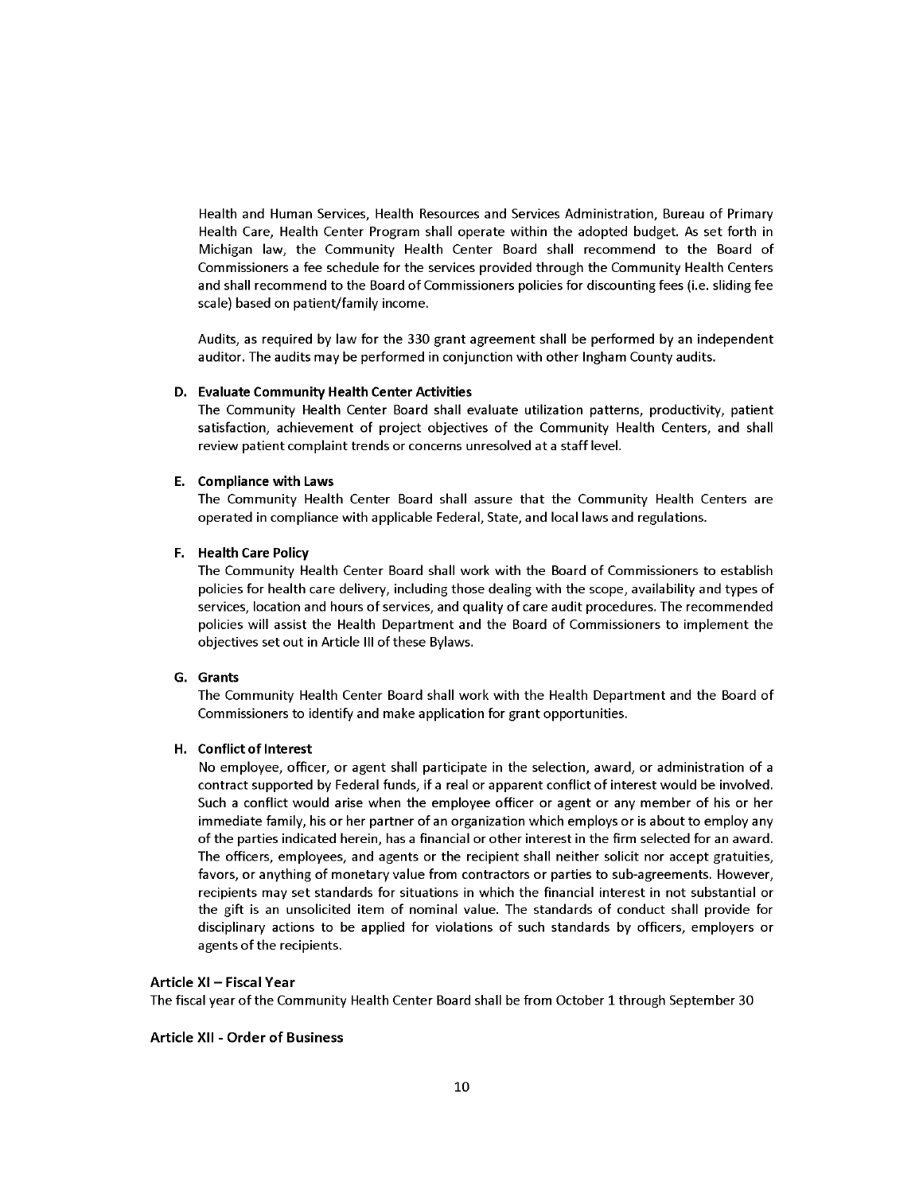Health and Human Services, Health Resources and Services Administration, Bureau of Primary Health Care, Health Center Program shall operate within the adopted budget. As set forth in Michigan law, the Community Health Center Board shall recommend to the Board of Commissioners a fee schedule for the services provided through the Community Health Centers and shall recommend to the Board of Commissioners policies for discounting fees (i.e. sliding fee scale) based on patient/family income.

Audits, as required by law for the 330 grant agreement shall be performed by an independent auditor. The audits may be performed in conjunction with other Ingham County audits.

#### D. Evaluate Community Health Center Activities

The Community Health Center Board shall evaluate utilization patterns, productivity, patient satisfaction, achievement of project objectives of the Community Health Centers, and shall review patient complaint trends or concerns unresolved at a staff level.

#### E. Compliance with Laws

The Community Health Center Board shall assure that the Community Health Centers are operated in compliance with applicable Federal, State, and local laws and regulations.

#### F. Health Care Policy

The Community Health Center Board shall work with the Board of Commissioners to establish policies for health care delivery, including those dealing with the scope, availability and types of services, location and hours of services, and quality of care audit procedures. The recommended policies will assist the Health Department and the Board of Commissioners to implement the objectives set out in Article III of these Bylaws.

#### G. Grants

The Community Health Center Board shall work with the Health Department and the Board of Commissioners to identify and make application for grant opportunities.

#### H. Conflict of Interest

No employee, officer, or agent shall participate in the selection, award, or administration of a contract supported by Federal funds, if a real or apparent conflict of interest would be involved. Such a conflict would arise when the employee officer or agent or any member of his or her immediate family, his or her partner of an organization which employs or is about to employ any of the parties indicated herein, has a financial or other interest in the firm selected for an award. The officers, employees, and agents or the recipient shall neither solicit nor accept gratuities, favors, or anything of monetary value from contractors or parties to sub-agreements. However, recipients may set standards for situations in which the financial interest in not substantial or the gift is an unsolicited item of nominal value. The standards of conduct shall provide for disciplinary actions to be applied for violations of such standards by officers, employers or agents of the recipients.

#### Article XI - Fiscal Year

The fiscal year of the Community Health Center Board shall be from October 1 through September 30

#### **Article XII - Order of Business**